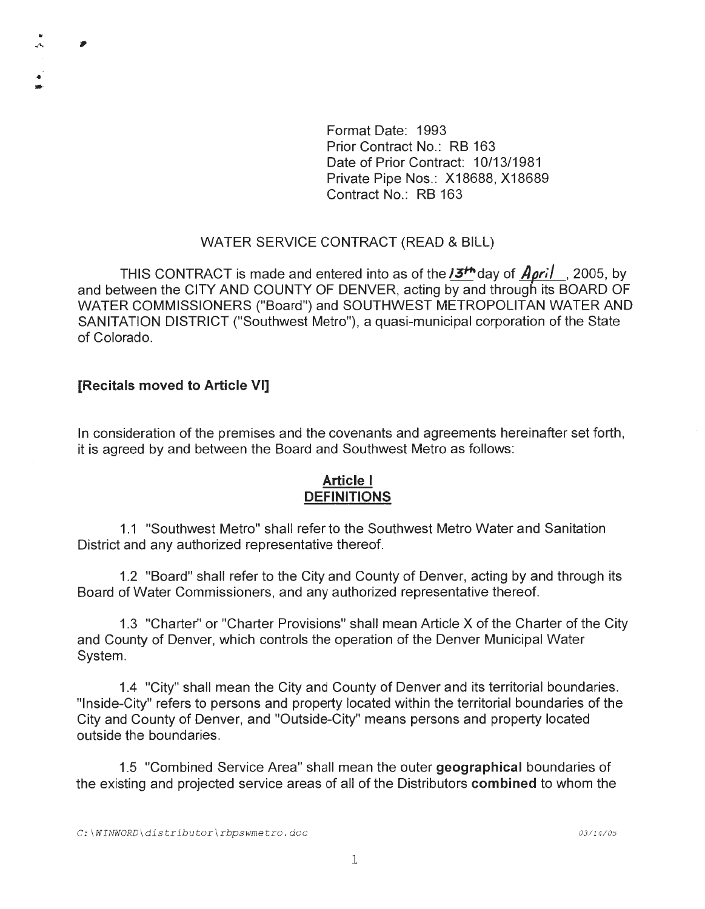Format Date: 1993 Prior Contract No.: RB 163 Date of Prior Contract: 10/13/1981 Private Pipe Nos.: X18688, X18689 Contract No.: RB 163

### WATER SERVICE CONTRACT (READ & BILL)

THIS CONTRACT is made and entered into as of the **J3<sup>th</sup>day of** *April*, 2005, by and between the CITY AND COUNTY OF DENVER, acting by and through its BOARD OF WATER COMMISSIONERS ("Board") and SOUTHWEST METROPOLITAN WATER AND SANITATION DISTRICT ("Southwest Metro"), a quasi-municipal corporation of the State of Colorado.

### [Recitals moved to Article VI]

"' .,.., ,,

• ..

> In consideration of the premises and the covenants and agreements hereinafter set forth, it is agreed by and between the Board and Southwest Metro as follows:

# Article I **DEFINITIONS**

1.1 "Southwest Metro" shall refer to the Southwest Metro Water and Sanitation District and any authorized representative thereof.

1.2 "Board" shall refer to the City and County of Denver, acting by and through its Board of Water Commissioners, and any authorized representative thereof.

1.3 "Charter" or "Charter Provisions" shall mean Article X of the Charter of the City and County of Denver, which controls the operation of the Denver Municipal Water System.

1.4 "City" shall mean the City and County of Denver and its territorial boundaries. "Inside-City" refers to persons and property located within the territorial boundaries of the City and County of Denver, and "Outside-City" means persons and property located outside the boundaries.

1.5 "Combined Service Area" shall mean the outer geographical boundaries of the existing and projected service areas of all of the Distributors combined to whom the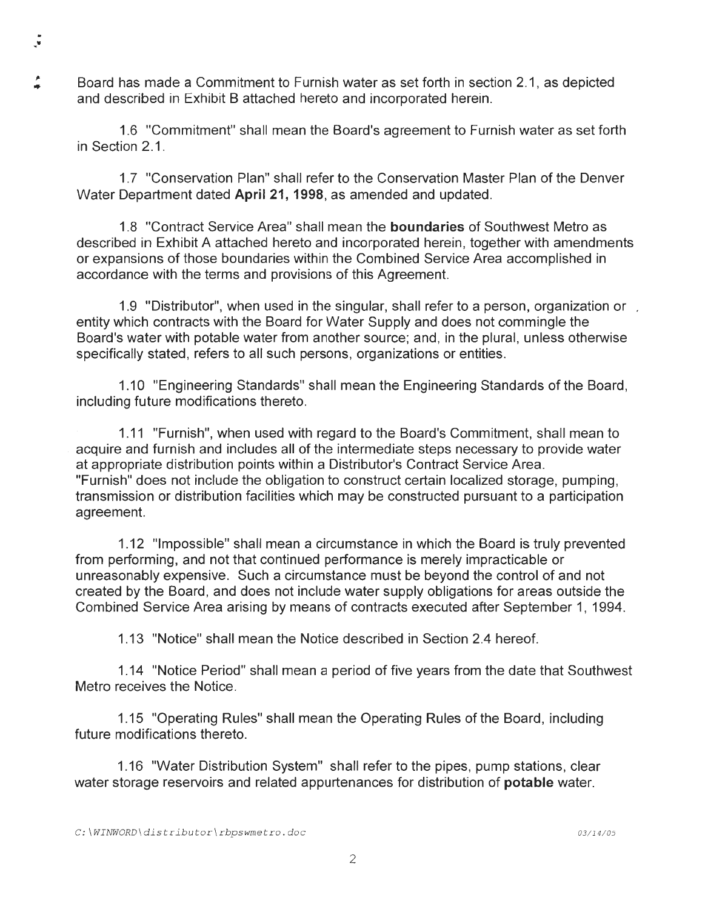Board has made a Commitment to Furnish water as set forth in section 2.1, as depicted and described in Exhibit B attached hereto and incorporated herein.

 $\bullet$  .

,.

1.6 "Commitment" shall mean the Board's agreement to Furnish water as set forth in Section 2.1 .

1.7 "Conservation Plan" shall refer to the Conservation Master Plan of the Denver Water Department dated **April 21, 1998,** as amended and updated.

1.8 "Contract Service Area" shall mean the **boundaries** of Southwest Metro as described in Exhibit A attached hereto and incorporated herein, together with amendments or expansions of those boundaries within the Combined Service Area accomplished in accordance with the terms and provisions of this Agreement.

1.9 "Distributor", when used in the singular, shall refer to a person, organization or entity which contracts with the Board for Water Supply and does not commingle the Board's water with potable water from another source; and, in the plural, unless otherwise specifically stated, refers to all such persons, organizations or entities.

1.10 "Engineering Standards" shall mean the Engineering Standards of the Board, including future modifications thereto.

1.11 "Furnish", when used with regard to the Board's Commitment, shall mean to acquire and furnish and includes all of the intermediate steps necessary to provide water at appropriate distribution points within a Distributor's Contract Service Area. "Furnish" does not include the obligation to construct certain localized storage, pumping, transmission or distribution facilities which may be constructed pursuant to a participation agreement.

1.12 "Impossible" shall mean a circumstance in which the Board is truly prevented from performing, and not that continued performance is merely impracticable or unreasonably expensive. Such a circumstance must be beyond the control of and not created by the Board, and does not include water supply obligations for areas outside the Combined Service Area arising by means of contracts executed after September 1, 1994.

1.13 "Notice" shall mean the Notice described in Section 2.4 hereof.

1.14 "Notice Period" shall mean a period of five years from the date that Southwest Metro receives the Notice.

1.15 "Operating Rules" shall mean the Operating Rules of the Board, including future modifications thereto.

1.16 "Water Distribution System" shall refer to the pipes, pump stations, clear water storage reservoirs and related appurtenances for distribution of **potable** water.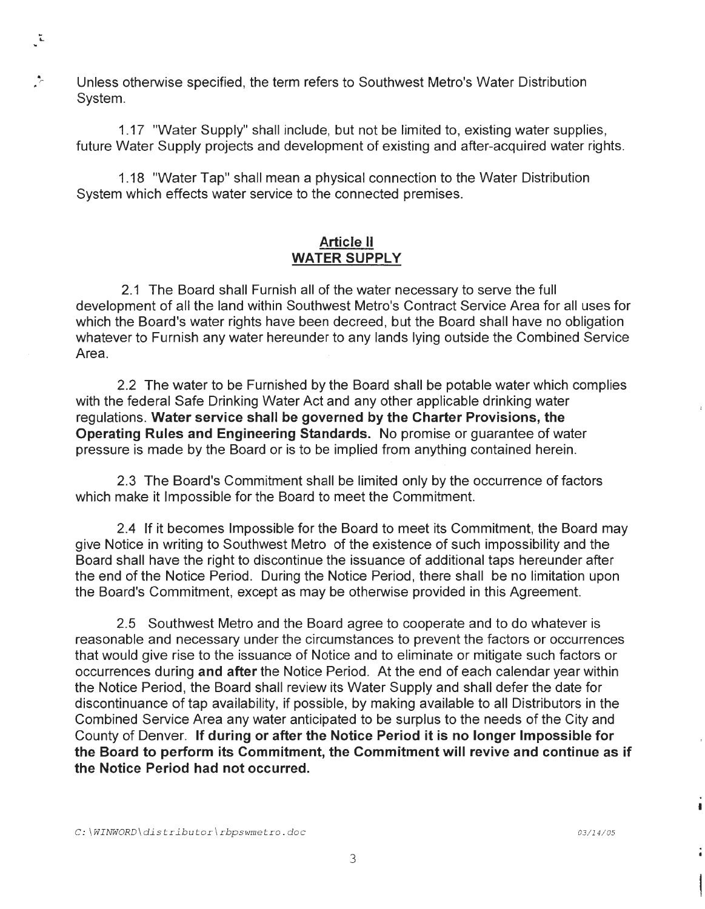,"; Unless otherwise specified, the term refers to Southwest Metro's Water Distribution System.

 $\mathbb{Z}$ 

1.17 "Water Supply" shall include, but not be limited to, existing water supplies, future Water Supply projects and development of existing and after-acquired water rights.

1.18 "Water Tap" shall mean a physical connection to the Water Distribution System which effects water service to the connected premises.

## **Article** II **WATER SUPPLY**

2.1 The Board shall Furnish all of the water necessary to serve the full development of all the land within Southwest Metro's Contract Service Area for all uses for which the Board's water rights have been decreed, but the Board shall have no obligation whatever to Furnish any water hereunder to any lands lying outside the Combined Service Area.

2.2 The water to be Furnished by the Board shall be potable water which complies with the federal Safe Drinking Water Act and any other applicable drinking water regulations. **Water service shall be governed by the Charter Provisions, the Operating Rules and Engineering Standards.** No promise or guarantee of water pressure is made by the Board or is to be implied from anything contained herein.

2.3 The Board's Commitment shall be limited only by the occurrence of factors which make it Impossible for the Board to meet the Commitment.

2.4 If it becomes Impossible for the Board to meet its Commitment, the Board may give Notice in writing to Southwest Metro of the existence of such impossibility and the Board shall have the right to discontinue the issuance of additional taps hereunder after the end of the Notice Period. During the Notice Period, there shall be no limitation upon the Board's Commitment, except as may be otherwise provided in this Agreement.

2.5 Southwest Metro and the Board agree to cooperate and to do whatever is reasonable and necessary under the circumstances to prevent the factors or occurrences that would give rise to the issuance of Notice and to eliminate or mitigate such factors or occurrences during **and after** the Notice Period. At the end of each calendar year within the Notice Period, the Board shall review its Water Supply and shall defer the date for discontinuance of tap availability, if possible, by making available to all Distributors in the Combined Service Area any water anticipated to be surplus to the needs of the City and County of Denver. If **during or after the Notice Period it is no longer Impossible for the Board to perform its Commitment, the Commitment will revive and continue as if the Notice Period had not occurred.**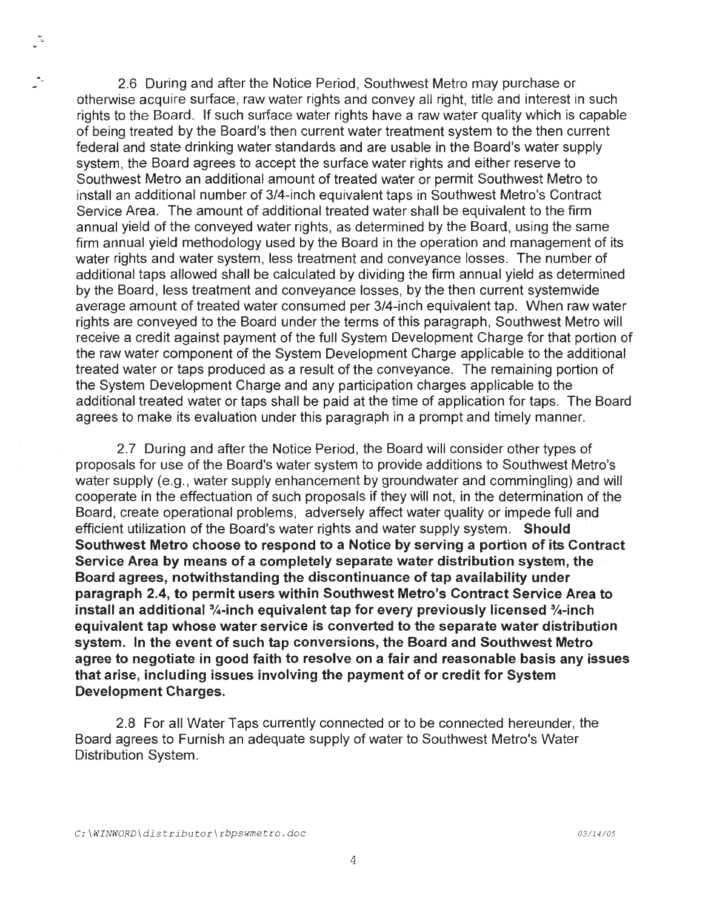,..\_ 2.6 During and after the Notice Period , Southwest Metro may purchase or otherwise acquire surface, raw water rights and convey all right, title and interest in such rights to the Board. If such surface water rights have a raw water quality which is capable of being treated by the Board's then current water treatment system to the then current federal and state drinking water standards and are usable in the Board's water supply system, the Board agrees to accept the surface water rights and either reserve to Southwest Metro an additional amount of treated water or permit Southwest Metro to install an additional number of 3/4-inch equivalent taps in Southwest Metro's Contract Service Area. The amount of additional treated water shall be equivalent to the firm annual yield of the conveyed water rights, as determined by the Board, using the same firm annual yield methodology used by the Board in the operation and management of its water rights and water system, less treatment and conveyance losses. The number of additional taps allowed shall be calculated by dividing the firm annual yield as determined by the Board, less treatment and conveyance losses, by the then current systemwide average amount of treated water consumed per 3/4-inch equivalent tap. When raw water rights are conveyed to the Board under the terms of this paragraph, Southwest Metro will receive a credit against payment of the full System Development Charge for that portion of the raw water component of the System Development Charge applicable to the additional treated water or taps produced as a result of the conveyance. The remaining portion of the System Development Charge and any participation charges applicable to the additional treated water or taps shall be paid at the time of application for taps. The Board agrees to make its evaluation under this paragraph in a prompt and timely manner.

2.7 During and after the Notice Period, the Board will consider other types of proposals for use of the Board's water system to provide additions to Southwest Metro's water supply (e.g., water supply enhancement by groundwater and commingling) and will cooperate in the effectuation of such proposals if they will not, in the determination of the Board, create operational problems, adversely affect water quality or impede full and efficient utilization of the Board's water rights and water supply system. **Should Southwest Metro choose to respond to a Notice by serving a portion of its Contract Service Area by means of a completely separate water distribution system, the Board agrees, notwithstanding the discontinuance of tap availability under paragraph 2.4, to permit users within Southwest Metro's Contract Service Area to install an additional %-inch equivalent tap for every previously licensed %-inch equivalent tap whose water service is converted to the separate water distribution system. In the event of such tap conversions, the Board and Southwest Metro agree to negotiate in good faith to resolve on a fair and reasonable basis any issues that arise, including issues involving the payment of or credit for System Development Charges.** 

2.8 For all Water Taps currently connected or to be connected hereunder, the Board agrees to Furnish an adequate supply of water to Southwest Metro's Water Distribution System.

ي<sup>-</sup>.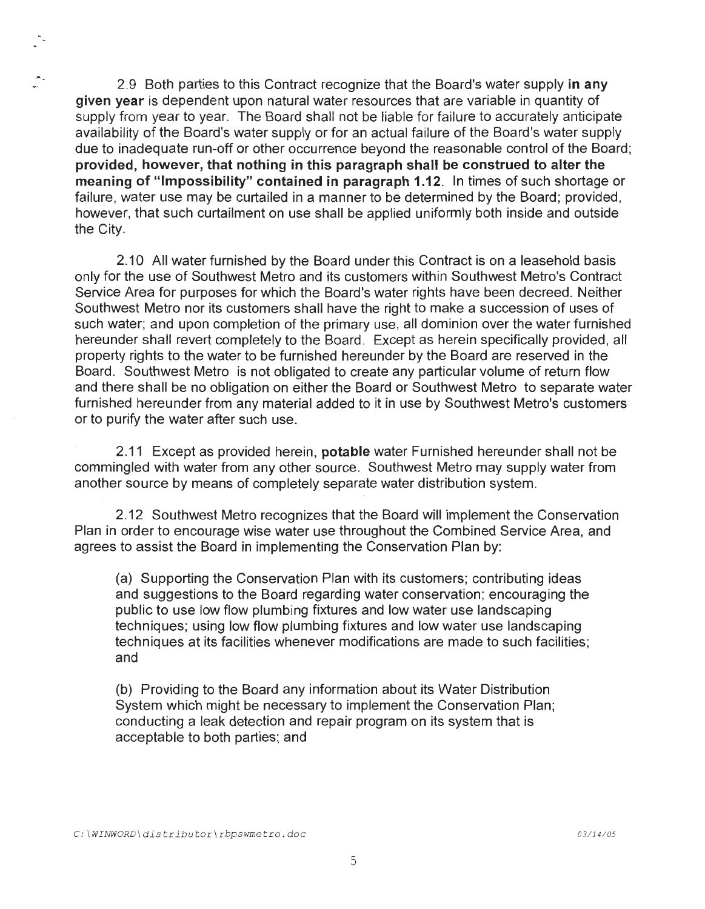2.9 Both parties to this Contract recognize that the Board's water supply in any given year is dependent upon natural water resources that are variable in quantity of supply from year to year. The Board shall not be liable for failure to accurately anticipate availability of the Board's water supply or for an actual failure of the Board's water supply due to inadequate run-off or other occurrence beyond the reasonable control of the Board; provided, however, that nothing in this paragraph shall be construed to alter the meaning of "Impossibility" contained in paragraph 1.12. In times of such shortage or failure, water use may be curtailed in a manner to be determined by the Board; provided, however, that such curtailment on use shall be applied uniformly both inside and outside the City.

2.10 All water furnished by the Board under this Contract is on a leasehold basis only for the use of Southwest Metro and its customers within Southwest Metro's Contract Service Area for purposes for which the Board's water rights have been decreed. Neither Southwest Metro nor its customers shall have the right to make a succession of uses of such water; and upon completion of the primary use, all dominion over the water furnished hereunder shall revert completely to the Board. Except as herein specifically provided, all property rights to the water to be furnished hereunder by the Board are reserved in the Board. Southwest Metro is not obligated to create any particular volume of return flow and there shall be no obligation on either the Board or Southwest Metro to separate water furnished hereunder from any material added to it in use by Southwest Metro's customers or to purify the water after such use.

2.11 Except as provided herein, **potable** water Furnished hereunder shall not be commingled with water from any other source. Southwest Metro may supply water from another source by means of completely separate water distribution system.

2.12 Southwest Metro recognizes that the Board will implement the Conservation Plan in order to encourage wise water use throughout the Combined Service Area, and agrees to assist the Board in implementing the Conservation Plan by:

(a) Supporting the Conservation Plan with its customers; contributing ideas and suggestions to the Board regarding water conservation; encouraging the public to use low flow plumbing fixtures and low water use landscaping techniques; using low flow plumbing fixtures and low water use landscaping techniques at its facilities whenever modifications are made to such facilities ; and

(b) Providing to the Board any information about its Water Distribution System which might be necessary to implement the Conservation Plan; conducting a leak detection and repair program on its system that is acceptable to both parties; and

•.\_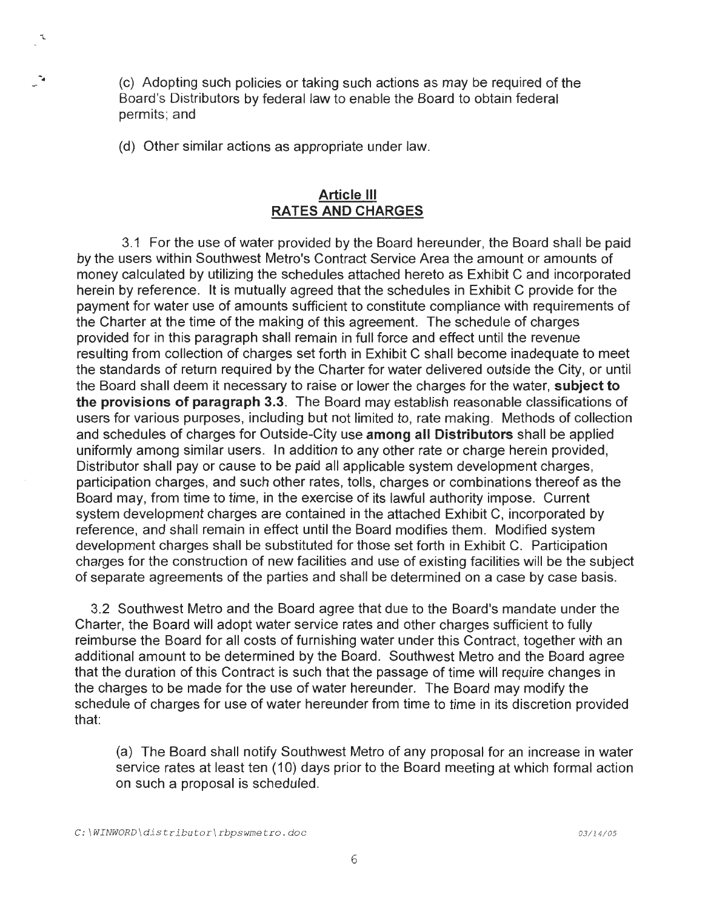$\cdot$  (c) Adopting such policies or taking such actions as may be required of the Board's Distributors by federal law to enable the Board to obtain federal permits; and

(d) Other similar actions as appropriate under law.

\..

# **Article** Ill **RATES AND CHARGES**

3.1 For the use of water provided by the Board hereunder, the Board shall be paid by the users within Southwest Metro's Contract Service Area the amount or amounts of money calculated by utilizing the schedules attached hereto as Exhibit C and incorporated herein by reference. It is mutually agreed that the schedules in Exhibit C provide for the payment for water use of amounts sufficient to constitute compliance with requirements of the Charter at the time of the making of this agreement. The schedule of charges provided for in this paragraph shall remain in full force and effect until the revenue resulting from collection of charges set forth in Exhibit C shall become inadequate to meet the standards of return required by the Charter for water delivered outside the City, or until the Board shall deem it necessary to raise or lower the charges for the water, **subject to the provisions of paragraph 3.3.** The Board may establish reasonable classifications of users for various purposes, including but not limited to, rate making. Methods of collection and schedules of charges for Outside-City use **among all Distributors** shall be applied uniformly among similar users. In addition to any other rate or charge herein provided, Distributor shall pay or cause to be paid all applicable system development charges, participation charges, and such other rates, tolls, charges or combinations thereof as the Board may, from time to time, in the exercise of its laWful authority impose. Current system development charges are contained in the attached Exhibit C, incorporated by reference, and shall remain in effect until the Board modifies them. Modified system development charges shall be substituted for those set forth in Exhibit C. Participation charges for the construction of new facilities and use of existing facilities will be the subject of separate agreements of the parties and shall be determined on a case by case basis.

3.2 Southwest Metro and the Board agree that due to the Board's mandate under the Charter, the Board will adopt water service rates and other charges sufficient to fully reimburse the Board for all costs of furnishing water under this Contract, together with an additional amount to be determined by the Board. Southwest Metro and the Board agree that the duration of this Contract is such that the passage of time will require changes in the charges to be made for the use of water hereunder. The Board may modify the schedule of charges for use of water hereunder from time to time in its discretion provided that:

(a) The Board shall notify Southwest Metro of any proposal for an increase in water service rates at least ten (10) days prior to the Board meeting at which formal action on such a proposal is scheduled.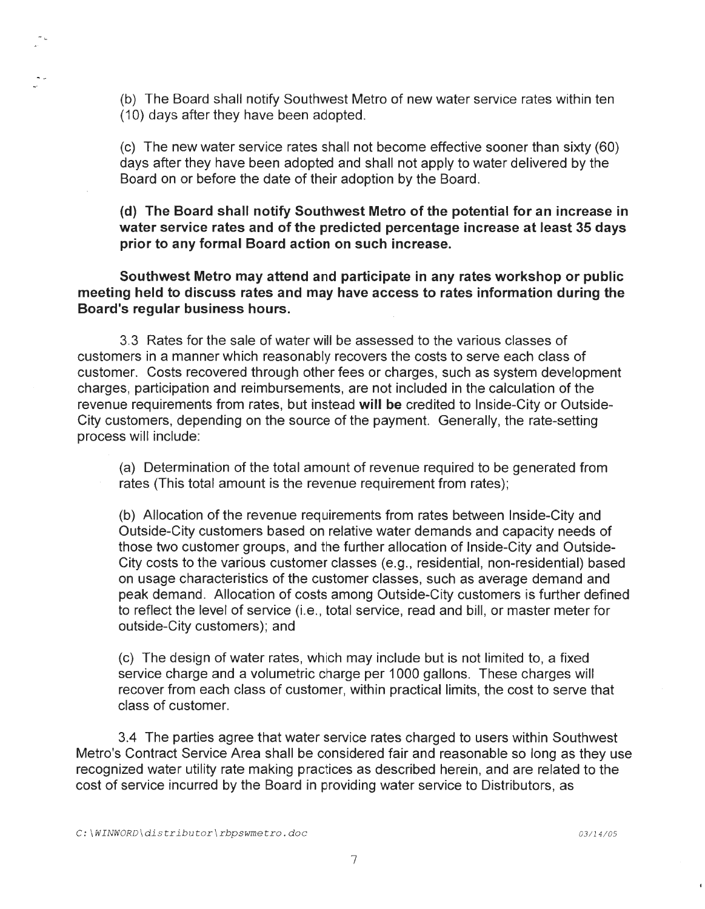(b) The Board shall notify Southwest Metro of new water service rates within ten (10) days after they have been adopted.

(c) The new water service rates shall not become effective sooner than sixty (60) days after they have been adopted and shall not apply to water delivered by the Board on or before the date of their adoption by the Board.

**(d) The Board shall notify Southwest Metro of the potential for an increase in water service rates and of the predicted percentage increase at least 35 days prior to any formal Board action on such increase.** 

**Southwest Metro may attend and participate in any rates workshop or public meeting held to discuss rates and may have access to rates information during the Board's regular business hours.** 

3.3 Rates for the sale of water will be assessed to the various classes of customers in a manner which reasonably recovers the costs to serve each class of customer. Costs recovered through other fees or charges, such as system development charges, participation and reimbursements, are not included in the calculation of the revenue requirements from rates, but instead **will be** credited to Inside-City or Outside-City customers, depending on the source of the payment. Generally, the rate-setting process will include:

(a) Determination of the total amount of revenue required to be generated from rates (This total amount is the revenue requirement from rates);

(b) Allocation of the revenue requirements from rates between Inside-City and Outside-City customers based on relative water demands and capacity needs of those two customer groups, and the further allocation of Inside-City and Outside-City costs to the various customer classes (e.g., residential, non-residential) based on usage characteristics of the customer classes, such as average demand and peak demand. Allocation of costs among Outside-City customers is further defined to reflect the level of service (i.e., total service, read and bill, or master meter for outside-City customers); and

(c) The design of water rates, which may include but is not limited to, a fixed service charge and a volumetric charge per 1000 gallons. These charges will recover from each class of customer, within practical limits, the cost to serve that class of customer.

3.4 The parties agree that water service rates charged to users within Southwest Metro's Contract Service Area shall be considered fair and reasonable so long as they use recognized water utility rate making practices as described herein, and are related to the cost of service incurred by the Board in providing water service to Distributors, as

-'-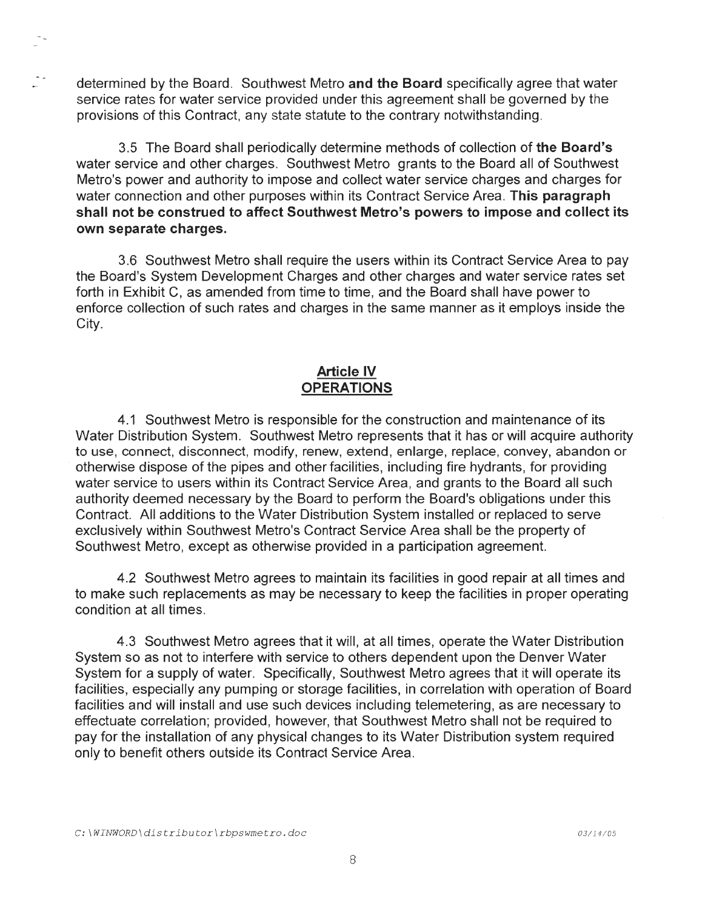determined by the Board. Southwest Metro **and the Board** specifically agree that water service rates for water service provided under this agreement shall be governed by the provisions of this Contract, any state statute to the contrary notwithstanding.

3.5 The Board shall periodically determine methods of collection of **the Board's**  water service and other charges. Southwest Metro grants to the Board all of Southwest Metro's power and authority to impose and collect water service charges and charges for water connection and other purposes within its Contract Service Area. **This paragraph shall not be construed to affect Southwest Metro's powers to impose and collect its own separate charges.** 

3.6 Southwest Metro shall require the users within its Contract Service Area to pay the Board's System Development Charges and other charges and water service rates set forth in Exhibit C, as amended from time to time, and the Board shall have power to enforce collection of such rates and charges in the same manner as it employs inside the City.

# **Article IV OPERATIONS**

4.1 Southwest Metro is responsible for the construction and maintenance of its Water Distribution System. Southwest Metro represents that it has or will acquire authority to use, connect, disconnect, modify, renew, extend, enlarge, replace, convey, abandon or otherwise dispose of the pipes and other facilities, including fire hydrants, for providing water service to users within its Contract Service Area, and grants to the Board all such authority deemed necessary by the Board to perform the Board's obligations under this Contract. All additions to the Water Distribution System installed or replaced to serve exclusively within Southwest Metro's Contract Service Area shall be the property of Southwest Metro, except as otherwise provided in a participation agreement.

4.2 Southwest Metro agrees to maintain its facilities in good repair at all times and to make such replacements as may be necessary to keep the facilities in proper operating condition at all times.

4.3 Southwest Metro agrees that it will, at all times, operate the Water Distribution System so as not to interfere with service to others dependent upon the Denver Water System for a supply of water. Specifically, Southwest Metro agrees that it will operate its facilities, especially any pumping or storage facilities , in correlation with operation of Board facilities and will install and use such devices including telemetering, as are necessary to effectuate correlation; provided, however, that Southwest Metro shall not be required to pay for the installation of any physical changes to its Water Distribution system required only to benefit others outside its Contract Service Area.

÷.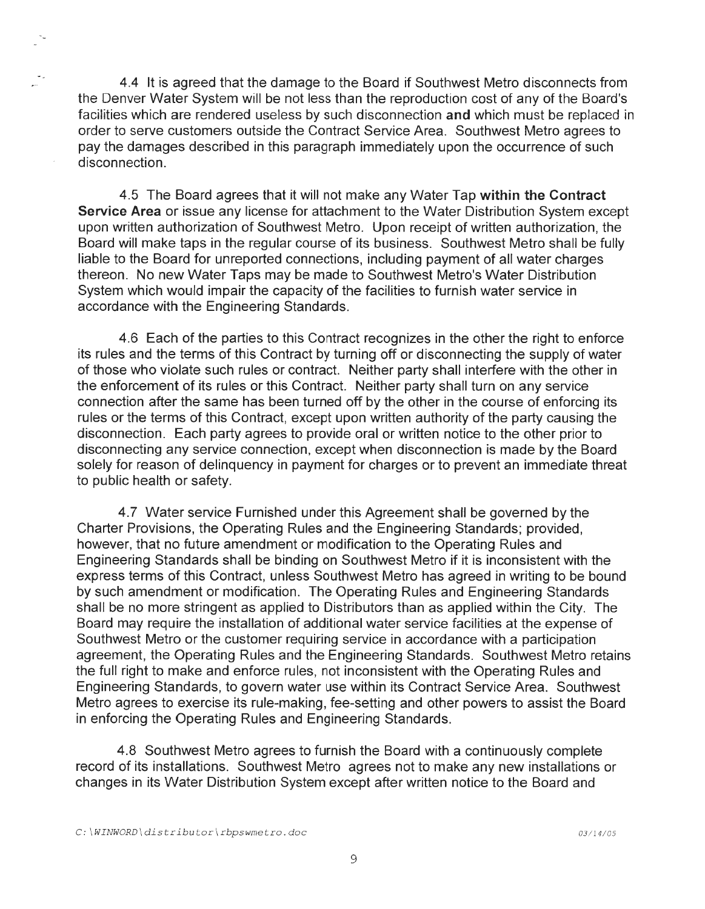4.4 It is agreed that the damage to the Board if Southwest Metro disconnects from the Denver Water System will be not less than the reproduction cost of any of the Board's facilities which are rendered useless by such disconnection **and** which must be replaced in order to serve customers outside the Contract Service Area. Southwest Metro agrees to pay the damages described in this paragraph immediately upon the occurrence of such disconnection.

4.5 The Board agrees that it will not make any Water Tap **within the Contract Service Area** or issue any license for attachment to the Water Distribution System except upon written authorization of Southwest Metro. Upon receipt of written authorization, the Board will make taps in the regular course of its business. Southwest Metro shall be fully liable to the Board for unreported connections, including payment of all water charges thereon. No new Water Taps may be made to Southwest Metro's Water Distribution System which would impair the capacity of the facilities to furnish water service in accordance with the Engineering Standards.

4.6 Each of the parties to this Contract recognizes in the other the right to enforce its rules and the terms of this Contract by turning off or disconnecting the supply of water of those who violate such rules or contract. Neither party shall interfere with the other in the enforcement of its rules or this Contract. Neither party shall turn on any service connection after the same has been turned off by the other in the course of enforcing its rules or the terms of this Contract, except upon written authority of the party causing the disconnection. Each party agrees to provide oral or written notice to the other prior to disconnecting any service connection, except when disconnection is made by the Board solely for reason of delinquency in payment for charges or to prevent an immediate threat to public health or safety.

4.7 Water service Furnished under this Agreement shall be governed by the Charter Provisions, the Operating Rules and the Engineering Standards; provided, however, that no future amendment or modification to the Operating Rules and Engineering Standards shall be binding on Southwest Metro if it is inconsistent with the express terms of this Contract, unless Southwest Metro has agreed in writing to be bound by such amendment or modification. The Operating Rules and Engineering Standards shall be no more stringent as applied to Distributors than as applied within the City. The Board may require the installation of additional water service facilities at the expense of Southwest Metro or the customer requiring service in accordance with a participation agreement, the Operating Rules and the Engineering Standards. Southwest Metro retains the full right to make and enforce rules, not inconsistent with the Operating Rules and Engineering Standards, to govern water use within its Contract Service Area. Southwest Metro agrees to exercise its rule-making, fee-setting and other powers to assist the Board in enforcing the Operating Rules and Engineering Standards.

4.8 Southwest Metro agrees to furnish the Board with a continuously complete record of its installations. Southwest Metro agrees not to make any new installations or changes in its Water Distribution System except after written notice to the Board and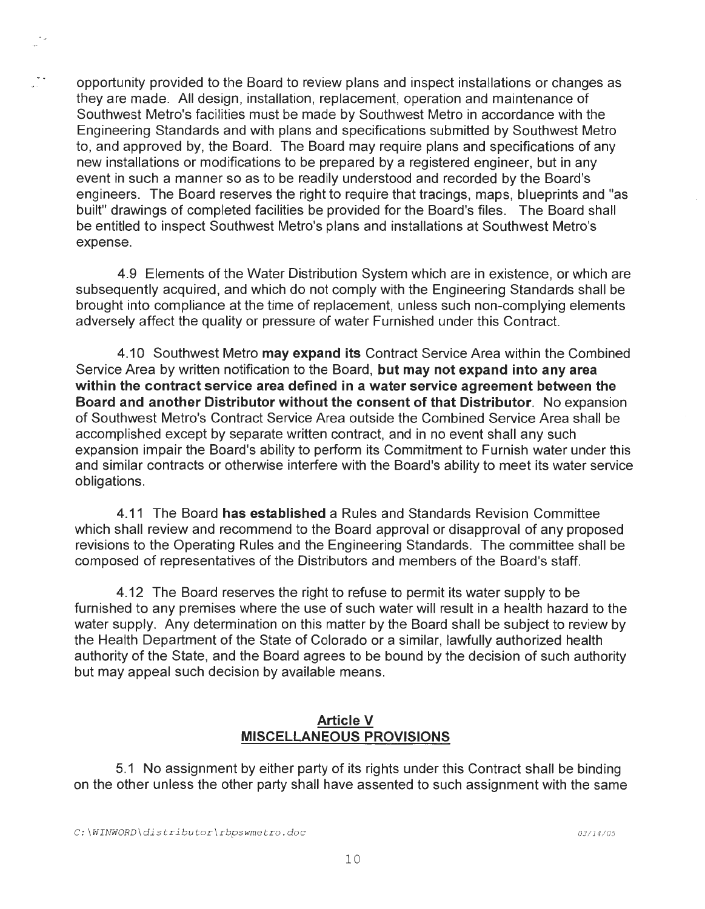opportunity provided to the Board to review plans and inspect installations or changes as they are made. All design, installation, replacement, operation and maintenance of Southwest Metro's facilities must be made by Southwest Metro in accordance with the Engineering Standards and with plans and specifications submitted by Southwest Metro to, and approved by, the Board. The Board may require plans and specifications of any new installations or modifications to be prepared by a registered engineer, but in any event in such a manner so as to be readily understood and recorded by the Board's engineers. The Board reserves the right to require that tracings, maps, blueprints and "as built" drawings of completed facilities be provided for the Board's files. The Board shall be entitled to inspect Southwest Metro's plans and installations at Southwest Metro's expense.

4.9 Elements of the Water Distribution System which are in existence, or which are subsequently acquired, and which do not comply with the Engineering Standards shall be brought into compliance at the time of replacement, unless such non-complying elements adversely affect the quality or pressure of water Furnished under this Contract.

4.10 Southwest Metro **may expand its** Contract Service Area within the Combined Service Area by written notification to the Board, **but may not expand into any area within the contract service area defined in a water service agreement between the Board and another Distributor without the consent of that Distributor.** No expansion of Southwest Metro's Contract Service Area outside the Combined Service Area shall be accomplished except by separate written contract, and in no event shall any such expansion impair the Board's ability to perform its Commitment to Furnish water under this and similar contracts or otherwise interfere with the Board's ability to meet its water service obligations.

4.11 The Board **has established** a Rules and Standards Revision Committee which shall review and recommend to the Board approval or disapproval of any proposed revisions to the Operating Rules and the Engineering Standards. The committee shall be composed of representatives of the Distributors and members of the Board's staff.

4.12 The Board reserves the right to refuse to permit its water supply to be furnished to any premises where the use of such water will result in a health hazard to the water supply. Any determination on this matter by the Board shall be subject to review by the Health Department of the State of Colorado or a similar, lawfully authorized health authority of the State, and the Board agrees to be bound by the decision of such authority but may appeal such decision by available means.

# **Article V MISCELLANEOUS PROVISIONS**

5.1 No assignment by either party of its rights under this Contract shall be binding on the other unless the other party shall have assented to such assignment with the same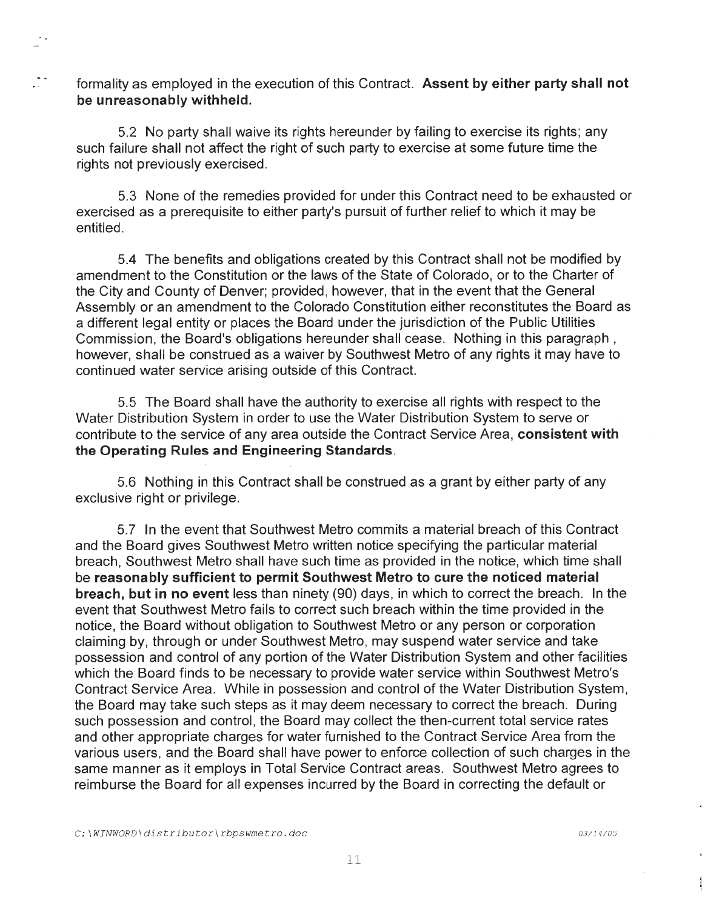formality as employed in the execution of this Contract. **Assent by either party shall not be unreasonably withheld.** 

5.2 No party shall waive its rights hereunder by failing to exercise its rights ; any such failure shall not affect the right of such party to exercise at some future time the rights not previously exercised.

5.3 None of the remedies provided for under this Contract need to be exhausted or exercised as a prerequisite to either party's pursuit of further relief to which it may be entitled.

5.4 The benefits and obligations created by this Contract shall not be modified by amendment to the Constitution or the laws of the State of Colorado, or to the Charter of the City and County of Denver; provided, however, that in the event that the General Assembly or an amendment to the Colorado Constitution either reconstitutes the Board as a different legal entity or places the Board under the jurisdiction of the Public Utilities Commission, the Board's obligations hereunder shall cease. Nothing in this paragraph , however, shall be construed as a waiver by Southwest Metro of any rights it may have to continued water service arising outside of this Contract.

5.5 The Board shall have the authority to exercise all rights with respect to the Water Distribution System in order to use the Water Distribution System to serve or contribute to the service of any area outside the Contract Service Area, **consistent with the Operating Rules and Engineering Standards.** 

5.6 Nothing in this Contract shall be construed as a grant by either party of any exclusive right or privilege.

5.7 In the event that Southwest Metro commits a material breach of this Contract and the Board gives Southwest Metro written notice specifying the particular material breach, Southwest Metro shall have such time as provided in the notice, which time shall be **reasonably sufficient to permit Southwest Metro to cure the noticed material breach, but in no event** less than ninety (90) days, in which to correct the breach. In the event that Southwest Metro fails to correct such breach within the time provided in the notice, the Board without obligation to Southwest Metro or any person or corporation claiming by, through or under Southwest Metro, may suspend water service and take possession and control of any portion of the Water Distribution System and other facilities which the Board finds to be necessary to provide water service within Southwest Metro's Contract Service Area. While in possession and control of the Water Distribution System, the Board may take such steps as it may deem necessary to correct the breach. During such possession and control, the Board may collect the then-current total service rates and other appropriate charges for water furnished to the Contract Service Area from the various users, and the Board shall have power to enforce collection of such charges in the same manner as it employs in Total Service Contract areas. Southwest Metro agrees to reimburse the Board for all expenses incurred by the Board in correcting the default or

 $\sim$  .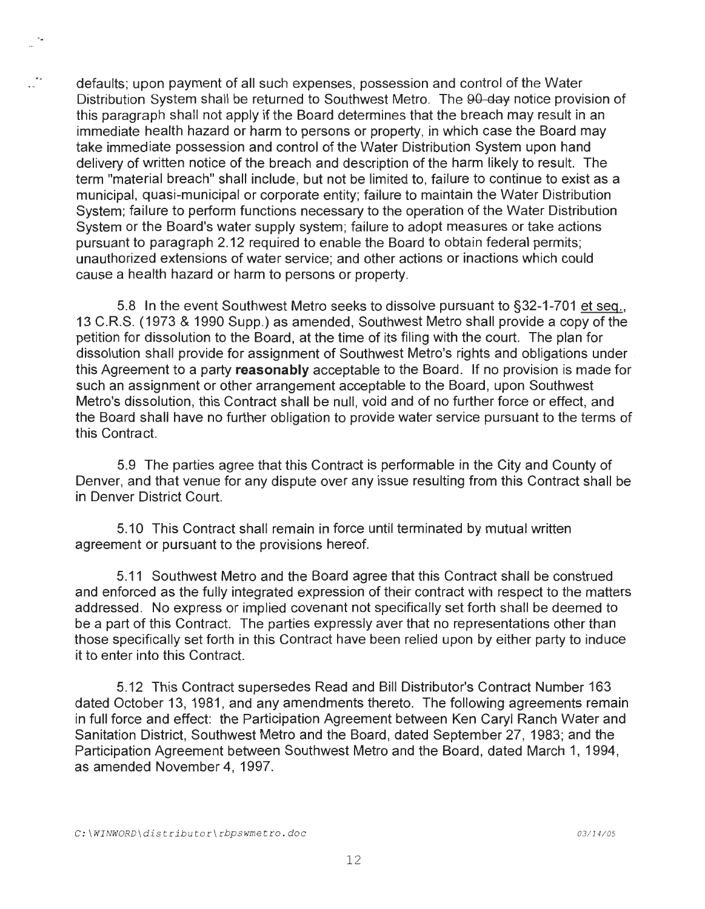defaults; upon payment of all such expenses, possession and control of the Water Distribution System shall be returned to Southwest Metro. The 90-day notice provision of this paragraph shall not apply if the Board determines that the breach may result in an immediate health hazard or harm to persons or property, in which case the Board may take immediate possession and control of the Water Distribution System upon hand delivery of written notice of the breach and description of the harm likely to result. The term "material breach" shall include, but not be limited to, failure to continue to exist as a municipal, quasi-municipal or corporate entity; failure to maintain the Water Distribution System; failure to perform functions necessary to the operation of the Water Distribution System or the Board's water supply system; failure to adopt measures or take actions pursuant to paragraph 2.12 required to enable the Board to obtain federal permits; unauthorized extensions of water service; and other actions or inactions which could cause a health hazard or harm to persons or property.

5.8 In the event Southwest Metro seeks to dissolve pursuant to §32-1-701 et seq., 13 C.R.S. (1973 & 1990 Supp.) as amended, Southwest Metro shall provide a copy of the petition for dissolution to the Board, at the time of its filing with the court. The plan for dissolution shall provide for assignment of Southwest Metro's rights and obligations under this Agreement to a party **reasonably** acceptable to the Board. If no provision is made for such an assignment or other arrangement acceptable to the Board, upon Southwest Metro's dissolution, this Contract shall be null, void and of no further force or effect, and the Board shall have no further obligation to provide water service pursuant to the terms of this Contract.

5.9 The parties agree that this Contract is performable in the City and County of Denver, and that venue for any dispute over any issue resulting from this Contract shall be in Denver District Court.

5.10 This Contract shall remain in force until terminated by mutual written agreement or pursuant to the provisions hereof.

5.11 Southwest Metro and the Board agree that this Contract shall be construed and enforced as the fully integrated expression of their contract with respect to the matters addressed. No express or implied covenant not specifically set forth shall be deemed to be a part of this Contract. The parties expressly aver that no representations other than those specifically set forth in this Contract have been relied upon by either party to induce it to enter into this Contract.

5.12 This Contract supersedes Read and Bill Distributor's Contract Number 163 dated October 13, 1981, and any amendments thereto. The following agreements remain in full force and effect: the Participation Agreement between Ken Caryl Ranch Water and Sanitation District, Southwest Metro and the Board, dated September 27, 1983; and the Participation Agreement between Southwest Metro and the Board, dated March 1, 1994, as amended November 4, 1997.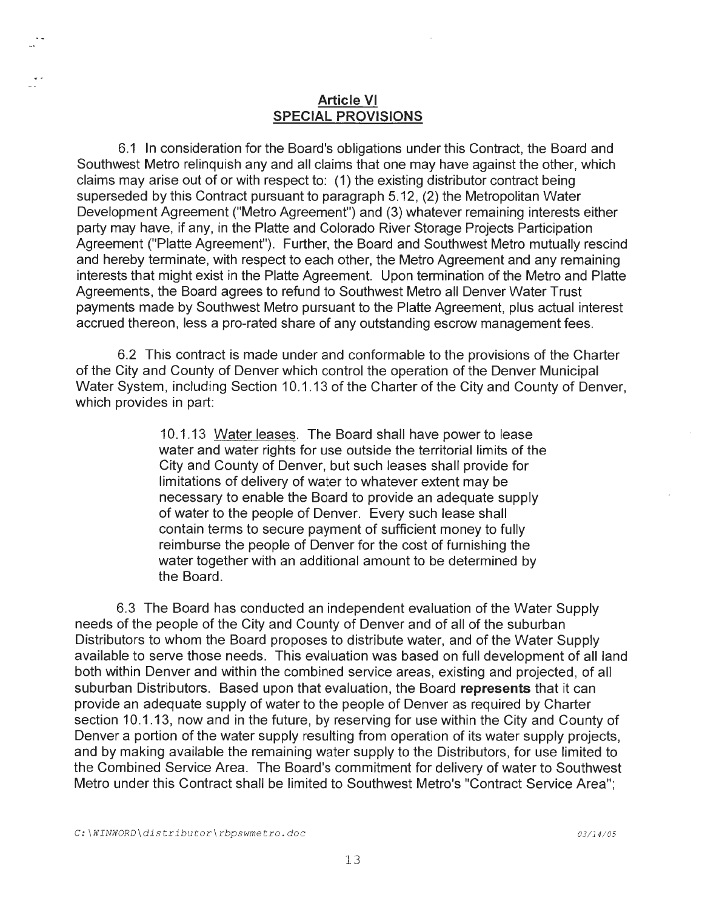# **Article VI SPECIAL PROVISIONS**

6.1 In consideration for the Board's obligations under this Contract, the Board and Southwest Metro relinquish any and all claims that one may have against the other, which claims may arise out of or with respect to: (1) the existing distributor contract being superseded by this Contract pursuant to paragraph 5.12, (2) the Metropolitan Water Development Agreement ("Metro Agreement") and (3) whatever remaining interests either party may have, if any, in the Platte and Colorado River Storage Projects Participation Agreement ("Platte Agreement"). Further, the Board and Southwest Metro mutually rescind and hereby terminate, with respect to each other, the Metro Agreement and any remaining interests that might exist in the Platte Agreement. Upon termination of the Metro and Platte Agreements, the Board agrees to refund to Southwest Metro all Denver Water Trust payments made by Southwest Metro pursuant to the Platte Agreement, plus actual interest accrued thereon, less a pro-rated share of any outstanding escrow management fees.

6.2 This contract is made under and conformable to the provisions of the Charter of the City and County of Denver which control the operation of the Denver Municipal Water System, including Section 10.1.13 of the Charter of the City and County of Denver, which provides in part:

> 10.1.13 Water leases. The Board shall have power to lease water and water rights for use outside the territorial limits of the City and County of Denver, but such leases shall provide for limitations of delivery of water to whatever extent may be necessary to enable the Board to provide an adequate supply of water to the people of Denver. Every such lease shall contain terms to secure payment of sufficient money to fully reimburse the people of Denver for the cost of furnishing the water together with an additional amount to be determined by the Board.

6.3 The Board has conducted an independent evaluation of the Water Supply needs of the people of the City and County of Denver and of all of the suburban Distributors to whom the Board proposes to distribute water, and of the Water Supply available to serve those needs. This evaluation was based on full development of all land both within Denver and within the combined service areas, existing and projected, of all suburban Distributors. Based upon that evaluation, the Board **represents** that it can provide an adequate supply of water to the people of Denver as required by Charter section 10.1 .13, now and in the future, by reserving for use within the City and County of Denver a portion of the water supply resulting from operation of its water supply projects, and by making available the remaining water supply to the Distributors, for use limited to the Combined Service Area. The Board's commitment for delivery of water to Southwest Metro under this Contract shall be limited to Southwest Metro's "Contract Service Area";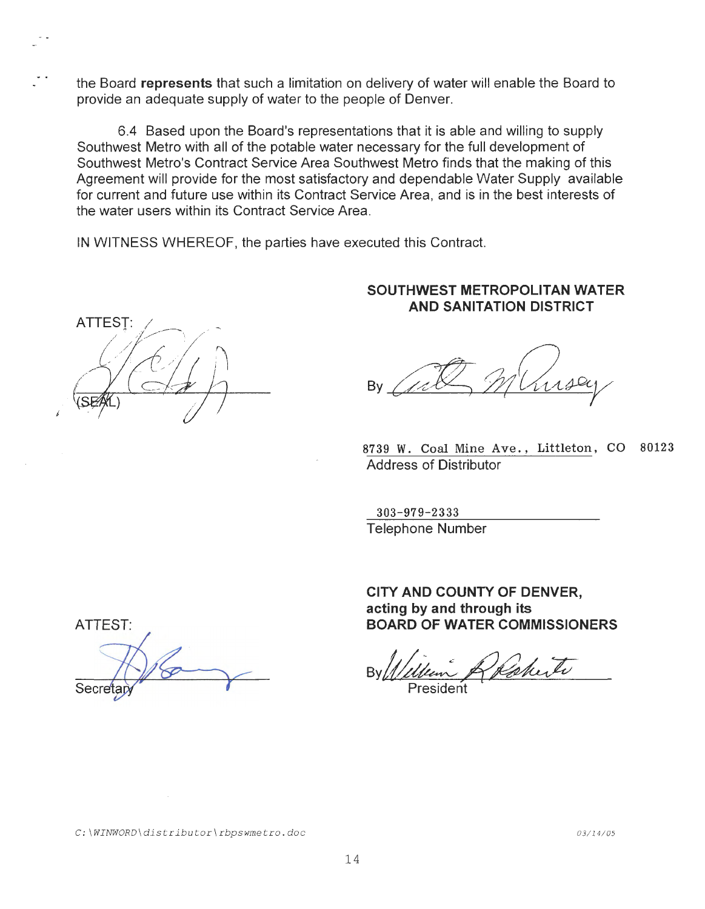the Board **represents** that such a limitation on delivery of water will enable the Board to provide an adequate supply of water to the people of Denver.

6.4 Based upon the Board's representations that it is able and willing to supply Southwest Metro with all of the potable water necessary for the full development of Southwest Metro's Contract Service Area Southwest Metro finds that the making of this Agreement will provide for the most satisfactory and dependable Water Supply available for current and future use within its Contract Service Area, and is in the best interests of the water users within its Contract Service Area.

IN WITNESS WHEREOF, the parties have executed this Contract.

**ATTEST:** */* 

# **SOUTHWEST METROPOLITAN WATER AND SANITATION DISTRICT**

By By a set of the set of the set of the set of the set of the set of the set of the set of the set of the set of

8739 W. Coal Mine Ave., Littleton, CO 80123 Address of Distributor

303-979-2333 Telephone Number

**CITY AND COUNTY OF DENVER, acting by and through its BOARD OF WATER COMMISSIONERS** 

By/tM~,~

President

ATTEST: Secreta

*C:\WINWORD\distributor\rbpswmetro.doc*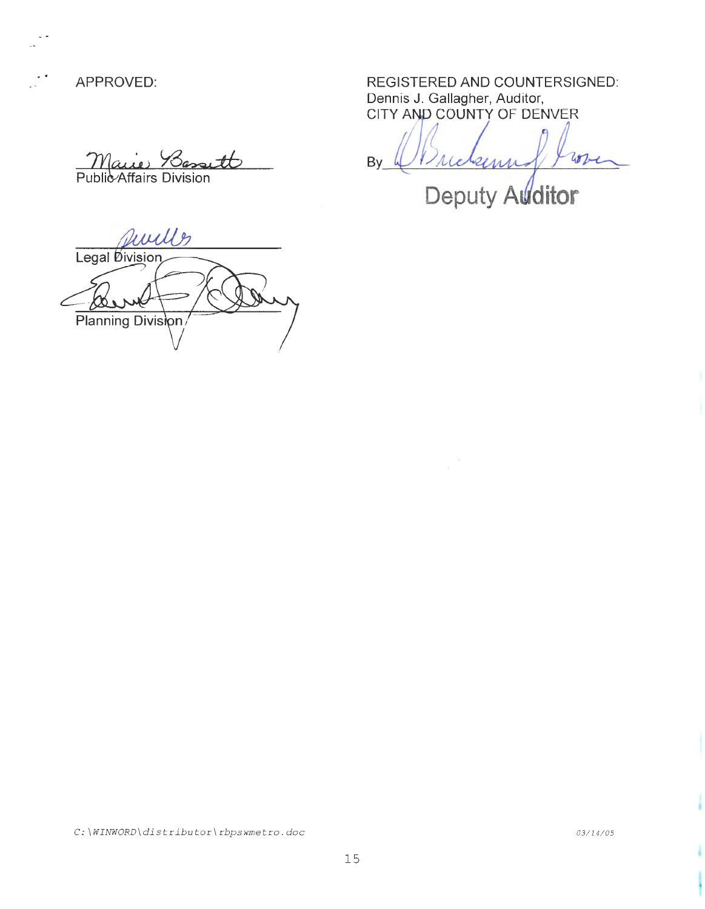YL°A ~) *Y3racu±b*  Affairs Division

uille Legal Division Planning Division

APPROVED: REGISTERED AND COUNTERSIGNED: Dennis J. Gallagher, Auditor, CITY AND COUNTY OF DENVER

By  $W$  reasons from

Deputy Auditor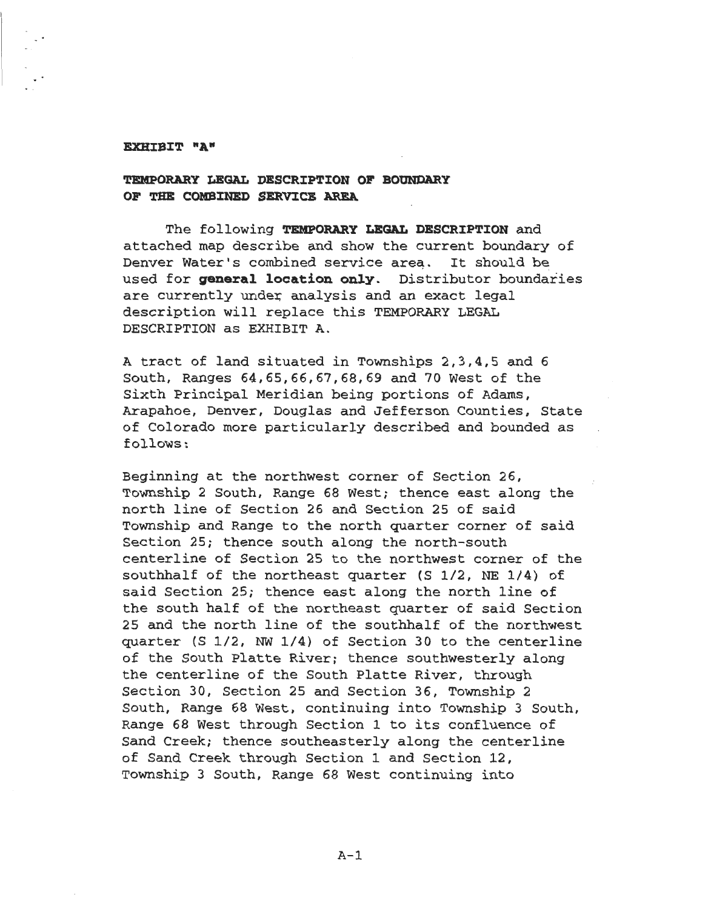### EXHIBIT "A"

### **TEMPORARY LEGAL DESCRIPTION OF BOUNDARY OF 'l'HE COMB:INED SERV:ICE AREA**

The following TEMPORARY LEGAL DESCRIPTION and attached map describe and show the current boundary of Denver Water's combined service area. It should be used for **general location only.** Distributor boundaries are currently under analysis and an exact legal description will replace this TEMPORARY LEGAL DESCRIPTION as EXHIBIT A.

A tract of land situated in Townships 2,3,4,5 and 6 South, Ranges 64,65,66,67,68,69 and 70 West of the Sixth Principal Meridian being portions of Adams, Arapahoe, Denver, Douglas and Jefferson Counties, State of Colorado more particularly described and bounded as follows:

Beginning at the northwest corner of Section 26, Township 2 South, Range 68 West; thence east along the north line of Section 26 and Section 25 of said Township and Range to the north quarter corner of said Section 25; thence south along the north-south centerline of Section 25 to the northwest corner of the southhalf of the northeast quarter (S 1/2, NE 1/4) of said Section 25; thence east along the north line of the south half of the northeast quarter of said Section 25 and the north line of the southhalf of the northwest quarter (S 1/2, NW 1/4) of Section 30 to the centerline of the South Platte River; thence southwesterly along the centerline of the South Platte River, through Section 30, Section 25 and Section 36, Township 2 South, Range 68 West, continuing into Township 3 South, Range 68 West through Section 1 to its confluence of Sand Creek; thence southeasterly along the centerline of Sand Creek through Section 1 and Section 12, Township 3 South, Range 68 West continuing into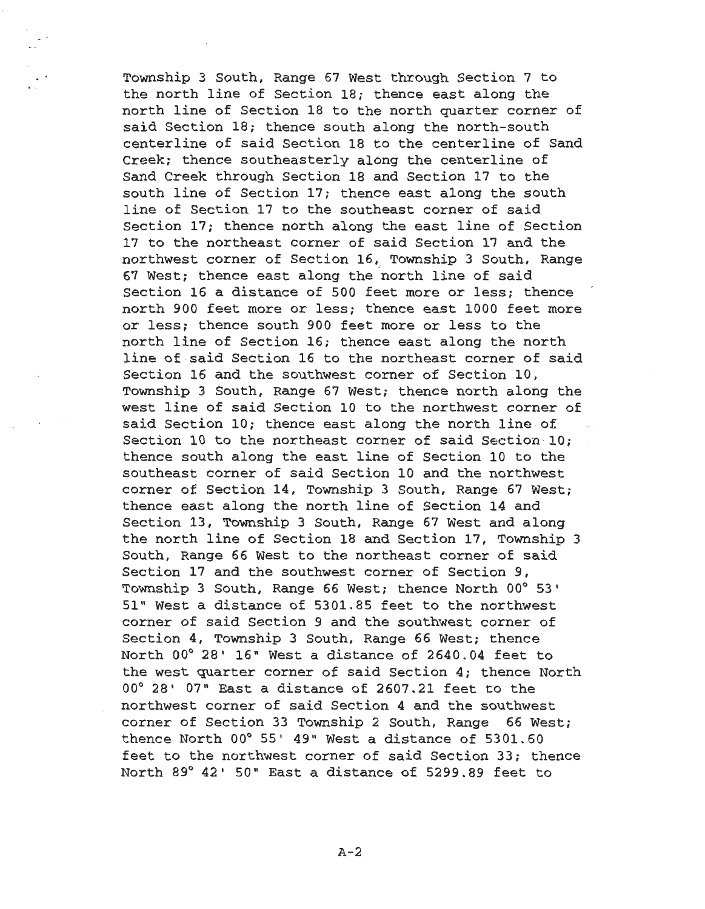Township 3 South, Range 67 West through Section 7 to the north line of Section 18; thence east along the north line of Section 18 to the north quarter corner of said Section 18; thence south along the north-south centerline of said Section 18 to the centerline of Sand Creek; thence southeasterly along the centerline of Sand Creek through Section 18 and Section 17 to the south line of Section 17; thence east along the south line of Section 17 to the southeast corner of said Section 17; thence north along the east line of Section 17 to the northeast corner of said Section 17 and the northwest corner of Section 16, Township 3 South, Range 67 West; thence east along the north line of said Section 16 a distance of 500 feet more or less; thence north 900 feet more or less; thence east 1000 feet more or less; thence south 900 feet more or less to the north line of Section 16; thence east along the north line of said Section 16 to the northeast corner of said Section 16 and the southwest corner of Section 10, Township 3 South, Range 67 West; thence north along the west line of said Section 10 to the northwest corner of said Section 10; thence east along the north line of Section 10 to the northeast corner of said Section 10; thence south along the east line of Section 10 to the southeast corner of said Section 10 and the northwest corner of Section 14, Township 3 South, Range 67 West; thence east along the north line of Section 14 and Section 13, Township 3 South, Range 67 West and along the north line of Section 18 and Section 17, Township 3 South, Range 66 West to the northeast corner of said Section 17 and the southwest corner of Section 9, Township 3 South, Range 66 West; thence North 00° 53 <sup>1</sup> 51" West a distance of 5301.85 feet to the northwest corner of said Section 9 and the southwest corner of Section 4, Township 3 South, Range 66 West; thence North 00° 28' 16" West a distance of 2640.04 feet to the west quarter corner of said Section 4; thence North  $00^{\circ}$  28'  $07^{\circ}$  East a distance of 2607.21 feet to the northwest corner of said Section 4 and the southwest corner of Section 33 Township 2 South, Range 66 West; thence North  $00^{\circ}$  55' 49" West a distance of 5301.60 feet to the northwest corner of said Section 33; thence North 89° 42' 50" East a distance of 5299.89 feet to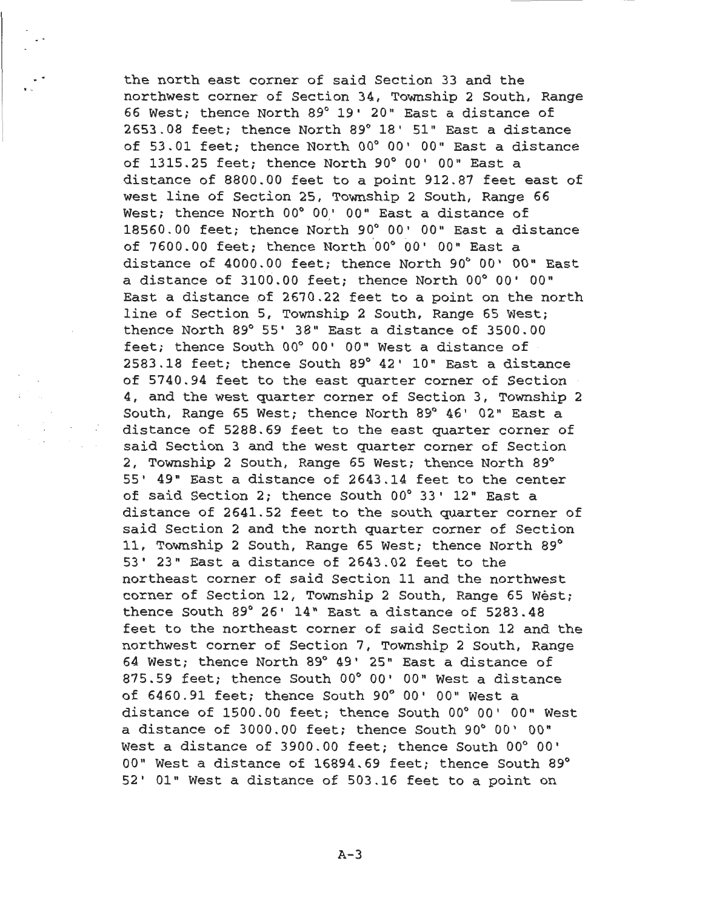the north east corner of said Section 33 and the northwest corner of Section 34, Township 2 South, Range 66 West; thence North 89° 19' 20" East a distance of 2653.08 feet; thence North 89° 18' 51" East a distance of 53.01 feet; thence North 00° 00' 00" East a distance of 1315.25 feet; thence North 90° 00' 00" East a distance of 8800.00 feet to a point 912.87 feet east of west line of Section 25, Township 2 South, Range 66 West; thence North 00° 00' 00" East a distance of 18560.00 feet; thence North 90° 00' 00" East a distance of 7600.00 feet; thence North 00° 00' 00" East a distance of 4000.00 feet; thence North 90° 00' 00" East a distance of 3100.00 feet; thence North 00° 00' 00" East a distance of 2670.22 feet to a point on the north line of Section 5, Township 2 South, Range 65 West; thence North 89° 55' 38" East a distance of 3500.00 feet; thence South 00° 00' 00" West a distance of 2583.18 feet; thence South 89° 42' 10" East a distance of 5740.94 feet to the east quarter corner of Section 4, and the west quarter corner of Section 3, Township 2 South, Range 65 West; thence North 89° 46' 02" East a distance of 5288.69 feet to the east quarter corner of said Section 3 and the west quarter corner of Section 2, Township 2 South, Range 65 West; thence North 89° 55' 49" East a distance of 2643.14 feet to the center of said Section 2; thence South 00° 33' 12" East a distance of 2641.52 feet to the south quarter corner of said Section 2 and the north quarter corner of Section 11, Township 2 South, Range 65 West; thence North 89° 53' 23" East a distance of 2643.02 feet to the northeast corner of said Section 11 and the northwest corner of Section 12, Township 2 South, Range 65 West; thence South 89° 26' 14" East a distance of 5283.48 feet to the northeast corner of said Section 12 and the northwest corner of Section 7, Township 2 South, Range 64 West; thence North 89° 49' 25" East a distance of 875.59 feet; thence South 00° 00' 00" West a distance of 6460.91 feet; thence South 90° 00' 00" West a distance of 1500.00 feet; thence South 00° 00' 00" West a distance of 3000.00 feet; thence South 90° 00' 00" West a distance of 3900.00 feet; thence South 00° 00' 00" West a distance of 16894.69 feet; thence South 89° 52' 01" West a distance of 503.16 feet to a point on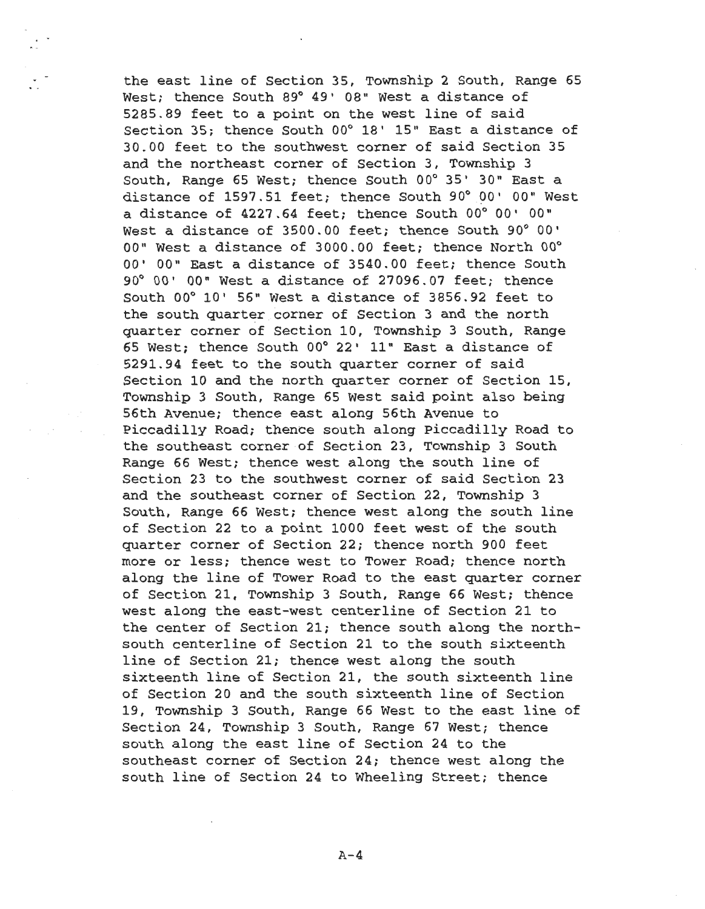the east line of Section 35, Township 2 South, Range 65 West; thence South 89° 49' 08" West a distance of 5285.89 feet to a point on the west line of said Section 35; thence South 00° 18' 15" East a distance of 30.00 feet to the southwest corner of said Section 35 and the northeast corner of Section 3, Township 3 South, Range 65 West; thence South 00° 35' 30" East a distance of 1597.51 feet; thence South 90° 00' 00" West a distance of 4227.64 feet; thence South 00° 00' 00" West a distance of 3500.00 feet; thence South 90° 00' 00" West a distance of 3000.00 feet; thence North 00° 00' 00" East a distance of 3540.00 feet; thence South 90° 00' 00" West a distance of 27096.07 feet; thence South 00° 10' 56" West a distance of 3856.92 feet to the south quarter corner of Section 3 and the north quarter corner of Section 10, Township 3 South, Range 65 West; thence South 00° 22' 11" East a distance of 5291.94 feet to the south quarter corner of said Section 10 and the north quarter corner of Section 15, Township 3 South, Range 65 West said point also being 56th Avenue; thence east along 56th Avenue to Piccadilly Road; thence south along Piccadilly Road to the southeast corner of Section 23, Township 3 South Range 66 West; thence west along the south line of Section 23 to the southwest corner of said Section 23 and the southeast corner of Section 22, Township 3 South, Range 66 West; thence west along the south line of Section 22 to a point 1000 feet west of the south quarter corner of Section 22; thence north 900 feet more or less; thence west to Tower Road; thence north along the line of Tower Road to the east quarter corner of Section 21, Township 3 South, Range 66 West; thence west along the east-west centerline of Section 21 to the center of Section 21; thence south along the northsouth centerline of Section 21 to the south sixteenth line of Section 21; thence west along the south sixteenth line of Section 21, the south sixteenth line of Section 20 and the south sixteenth line of Section 19, Township 3 South, Range 66 West to the east line of Section 24, Township 3 South, Range 67 West; thence south along the east line of Section 24 to the southeast corner of Section 24; thence west along the south line of Section 24 to Wheeling Street; thence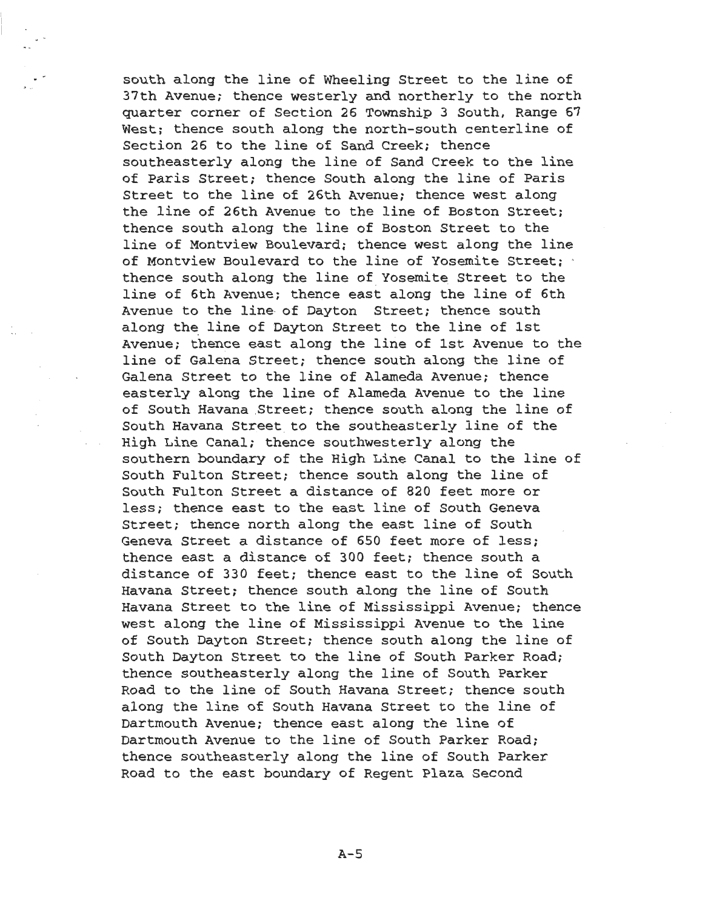south along the line of Wheeling Street to the line of 37th Avenue; thence westerly and northerly to the north quarter corner of Section 26 Township 3 South, Range 67 West; thence south along the north-south centerline of Section 26 to the line of Sand Creek; thence southeasterly along the line of Sand Creek to the line of Paris Street; thence South along the line of Paris Street to the line of 26th Avenue; thence west along the line of 26th Avenue to the line of Boston Street; thence south along the line of Boston Street to the line of Montview Boulevard; thence west along the line of Montview Boulevard to the line of Yosemite Street; thence south along the line of Yosemite Street to the line of 6th Avenue; thence east along the line of 6th Avenue to the line· of Dayton Street; thence south along the line of Dayton Street to the line of 1st Avenue; thence east along the line of 1st Avenue to the line of Galena Street; thence south along the line of Galena Street to the line of Alameda Avenue; thence easterly along the line of Alameda Avenue to the line of South Havana Street; thence south along the line of South Havana Street. to the southeasterly line of the High Line Canal; thence southwesterly along the southern boundary of the High Line Canal to the line of South Fulton Street; thence south along the line of South Fulton Street a distance of 820 feet more or less; thence east to the east line of South Geneva Street; thence north along the east line of South Geneva Street a distance of 650 feet more of less; thence east a distance of 300 feet; thence south a distance of 330 feet; thence east to the line of South Havana Street; thence south along the line of South Havana Street to the line of Mississippi Avenue; thence west along the line of Mississippi Avenue to the line of South Dayton Street; thence south along the line of South Dayton Street to the line of South Parker Road; thence southeasterly along the line of South Parker Road to the line of South Havana Street; thence south along the line of South Havana Street to the line of Dartmouth Avenue; thence east along the line of Dartmouth Avenue to the line of South Parker Road; thence southeasterly along the line of South Parker Road to the east boundary of Regent Plaza Second

A-5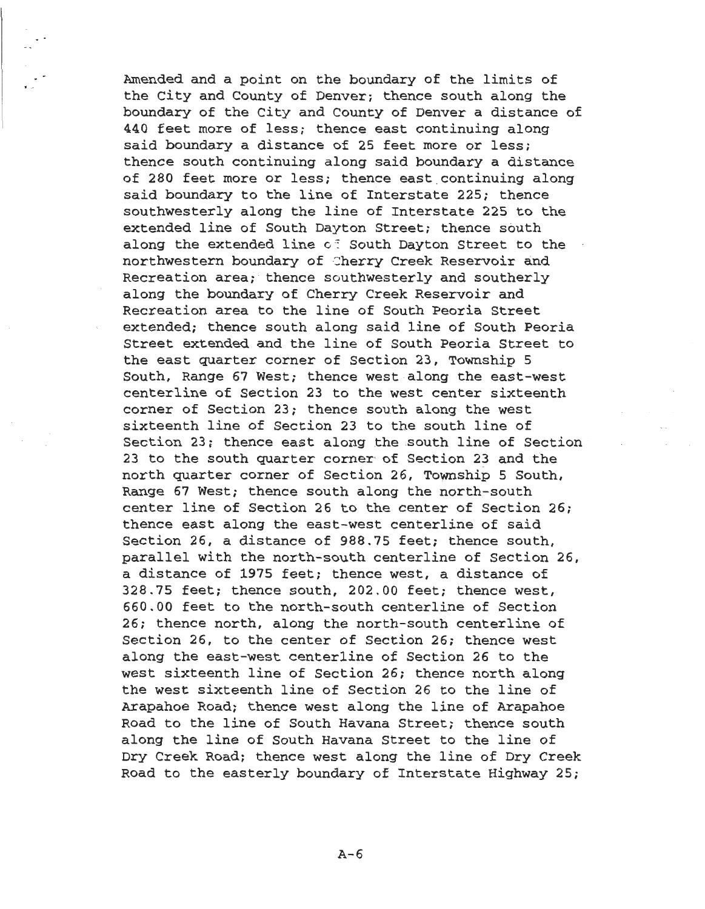Amended and a point on the boundary of the limits of the City and County of Denver; thence south along the boundary of the City and County of Denver a distance of 440 feet more of less; thence east continuing along said boundary a distance of 25 feet more or less; thence south continuing along said boundary a distance of 280 feet more or less; thence east continuing along said boundary to the line of Interstate 225; thence southwesterly along the line of Interstate 225 to the extended line of South Dayton Street; thence south along the extended line of South Dayton Street to the northwestern boundary of Cherry Creek Reservoir and Recreation area; thence southwesterly and southerly along the boundary of Cherry Creek Reservoir and Recreation area to the line of South Peoria Street extended; thence south along said line of South Peoria Street extended and the line of South Peoria Street to the east quarter corner of Section 23, Township 5 South, Range 67 West; thence west along the east-west centerline of Section 23 to the west center sixteenth corner of Section 23; thence south along the west sixteenth line of Section 23 to the south line of Section 23; thence east along the south line of Section 23 to the south quarter corner of Section 23 and the north quarter corner of Section 26, Township 5 South, Range 67 West; thence south along the north-south center line of Section 26 to the center of Section 26; thence east along the east-west centerline of said Section 26, a distance of 988.75 feet; thence south, parallel with the north-south centerline of Section 26, a distance of 1975 feet; thence west, a distance of 328.75 feet; thence south, 202.00 feet; thence west, 660.00 feet to the north-south centerline of Section 26; thence north, along the north-south centerline of Section 26, to the center of Section 26; thence west along the east-west centerline of Section 26 to the west sixteenth line of Section 26; thence north along the west sixteenth line of Section 26 to the line of Arapahoe Road; thence west along the line of Arapahoe Road to the line of South Havana Street; thence south along the line of South Havana Street to the line of Dry Creek Road; thence west along the line of Dry Creek Road to the easterly boundary of Interstate Highway 25;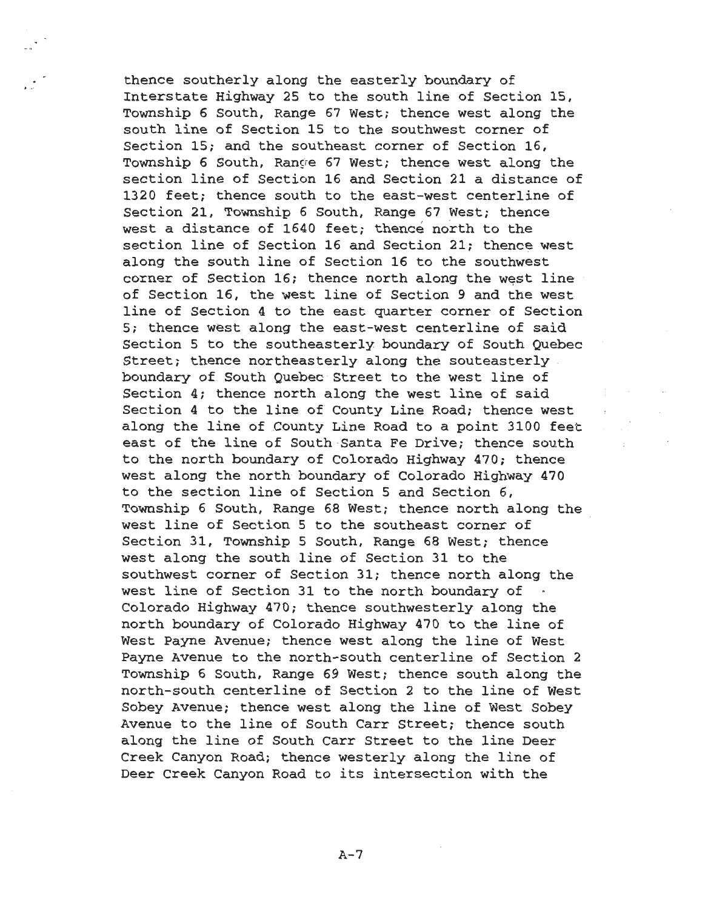thence southerly along the easterly boundary of Interstate Highway 25 to the south line of Section 15, Township 6 South, Range 67 West; thence west along the south line of Section 15 to the southwest corner of Section 15; and the southeast corner of Section 16, Township 6 South, Range 67 West; thence west along the section line of Section 16 and Section 21 a distance of 1320 feet; thence south to the east-west centerline of Section 21, Township 6 South, Range 67 West; thence west a distance of 1640 feet; thence north to the section line of Section 16 and Section 21; thence west along the south line of Section 16 to the southwest corner of Section 16; thence north along the west line of Section 16, the west line of Section 9 and the west line of Section 4 to the east quarter corner of Section 5; thence west along the east-west centerline of said Section 5 to the southeasterly boundary of South Quebec Street; thence northeasterly along the souteasterly boundary of South Quebec Street to the west line of Section 4; thence north along the west line of said Section 4 to the line of County Line Road; thence west along the line of County Line Road to a point 3100 feet east of the line of South Santa Fe Drive; thence south to the north boundary of Colorado Highway 470; thence west along the north boundary of Colorado Highway 470 to the section line of Section 5 and Section 6, Township 6 South, Range 68 West; thence north along the west line of Section 5 to the southeast corner of Section 31, Township 5 South, Range 68 West; thence west along the south line of Section 31 to the southwest corner of Section 31; thence north along the west line of Section 31 to the north boundary of Colorado Highway 470; thence southwesterly along the north boundary of Colorado Highway 470 to the line of West Payne Avenue; thence west along the line of West Payne Avenue to the north-south centerline of Section 2 Township 6 South, Range 69 West; thence south along the north-south centerline cf Section 2 to the line of West Sobey Avenue; thence west along the line of West Sobey Avenue to the line of South Carr Street; thence south along the line of South Carr Street to the line Deer Creek Canyon Road; thence westerly along the line of Deer Creek Canyon Road to its intersection with the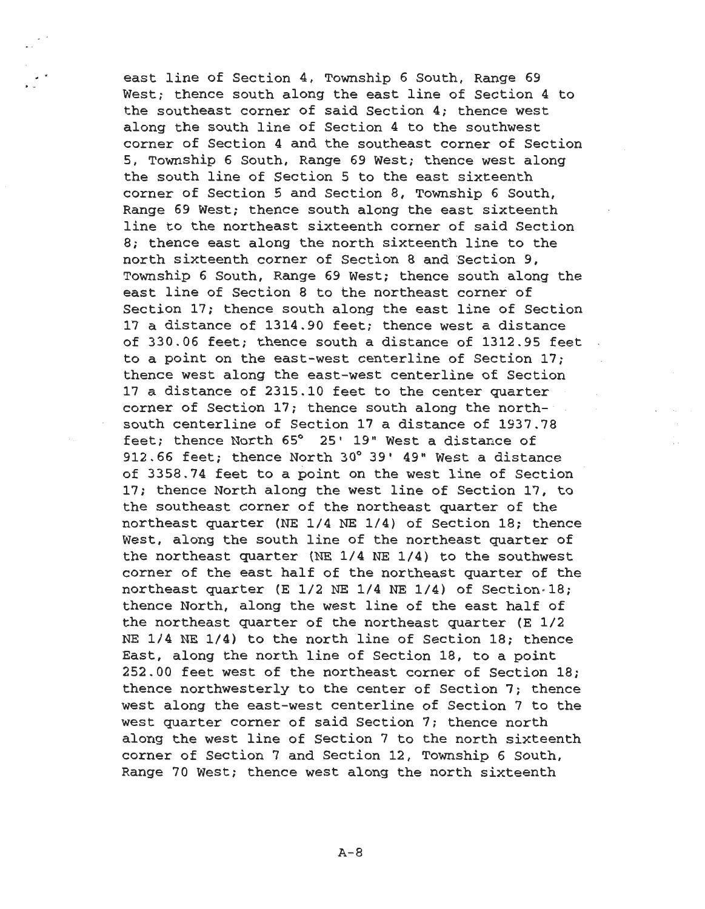east line of Section 4, Township 6 South, Range 69 West; thence south along the east line of Section 4 to the southeast corner of said Section 4; thence west along the south line of Section 4 to the southwest corner of Section 4 and the southeast corner of Section 5, Township 6 South, Range 69 West; thence west along the south line of Section 5 to the east sixteenth corner of Section 5 and Section B, Township 6 South, Range 69 West; thence south along the east sixteenth line to the northeast sixteenth corner of said Section B; thence east along the north sixteenth line to the north sixteenth corner of Section B and Section 9, Township 6 South, Range 69 West; thence south along the east line of Section B to the northeast corner of Section 17; thence south along the east line of Section 17 a distance of 1314.90 feet; thence west a distance of 330.06 feet; thence south a distance of 1312.95 feet to a point on the east-west centerline of Section 17; thence west along the east-west centerline of Section 17 a distance of 2315.10 feet to the center quarter corner of Section 17; thence south along the northsouth centerline of Section 17 a distance of 1937.78 feet; thence North 65° 25' 19" West a distance of 912.66 feet; thence North 30° 39' 49" West a distance of 3358.74 feet to a point on the west line of Section 17; thence North along the west line of Section 17, to the southeast corner of the northeast quarter of the northeast quarter (NE 1/4 NE 1/4) of Section 18; thence West, along the south line of the northeast quarter of the northeast quarter (NE 1/4 NE 1/4) to the southwest corner of the east half of the northeast quarter of the northeast quarter (E  $1/2$  NE  $1/4$  NE  $1/4$ ) of Section $\cdot 18$ ; thence North, along the west line of the east half of the northeast quarter of the northeast quarter (E 1/2 NE 1/4 NE 1/4) to the north line of Section 18; thence East, along the north line of Section 18, to a point 252.00 feet west of the northeast corner of Section 18; thence northwesterly to the center of Section 7; thence west along the east-west centerline of Section 7 to the west quarter corner of said Section 7; thence north along the west line of Section 7 to the north sixteenth corner of Section 7 and Section 12, Township 6 South, Range 70 West; thence west along the north sixteenth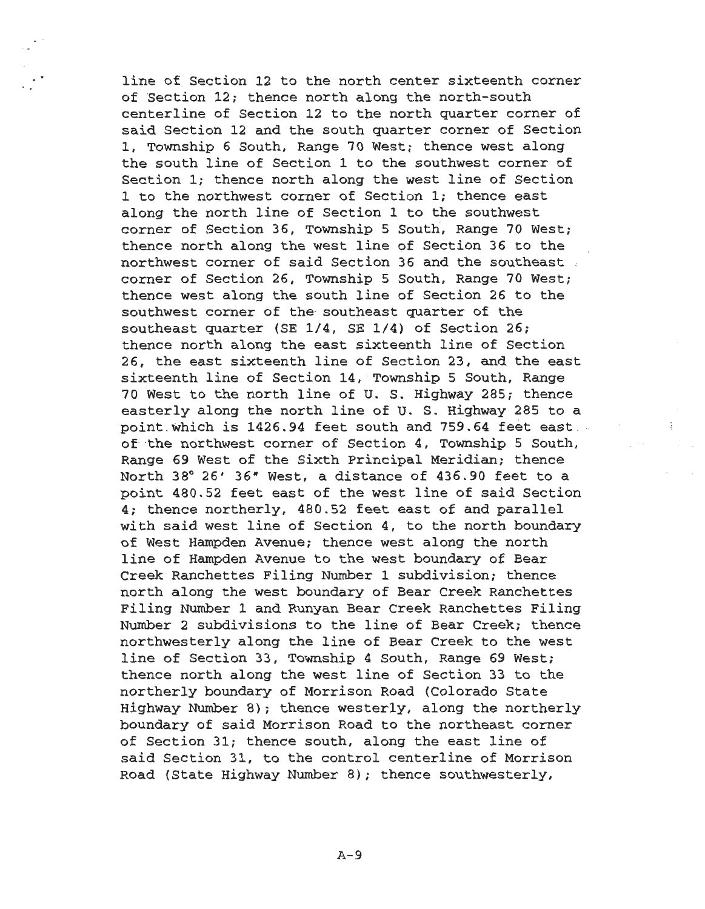line of Section 12 to the north center sixteenth corner of Section 12; thence north along the north-south centerline of Section 12 to the north quarter corner of said Section 12 and the south quarter corner of Section 1, Township 6 South, Range 70 West; thence west along the south line of Section 1 to the southwest corner of Section l; thence north along the west line of Section 1 to the northwest corner of Section l; thence east along the north line of Section 1 to the southwest corner of Section 36, Township 5 South, Range 70 West; thence north along the west line of Section 36 to the northwest corner of said Section 36 and the southeast .. corner of Section 26, Township 5 South, Range 70 West; thence west along the south line of Section 26 to the southwest corner of the- southeast quarter of the southeast quarter (SE 1/4, SE 1/4) of Section 26; thence north along the east sixteenth line of Section 26, the east sixteenth line of Section 23, and the east sixteenth line of Section 14, Township 5 South, Range 70 West to the north line of U. S. Highway 285; thence easterly along the north line of U. S. Highway 285 to a point .which is 1426.94 feet south and 759.64 feet east . of the northwest corner of Section 4, Township 5 South, Range 69 West of the Sixth Principal Meridian; thence North 38° 26' 36• West, a distance of 436.90 feet to a point 480.52 feet east of the west line of said Section 4; thence northerly, 480.52 feet east of and parallel with said west line of Section 4, to the north boundary of West Hampden Avenue; thence west along the north line of Hampden Avenue to the west boundary of Bear Creek Ranchettes Filing Number 1 subdivision; thence north along the west boundary of Bear Creek Ranchettes Filing Number 1 and Runyan Bear Creek Ranchettes Filing Number 2 subdivisions to the line of Bear Creek; thence northwesterly along the line of Bear Creek to the west line of Section 33, Township 4 South, Range 69 West; thence north along the west line of Section 33 to the northerly boundary of Morrison Road (Colorado State Highway Number 8); thence westerly, along the northerly boundary of said Morrison Road to the northeast corner of Section 31; thence south, along the east line of said Section 31, to the control centerline of Morrison Road (State Highway Number 8); thence southwesterly,

÷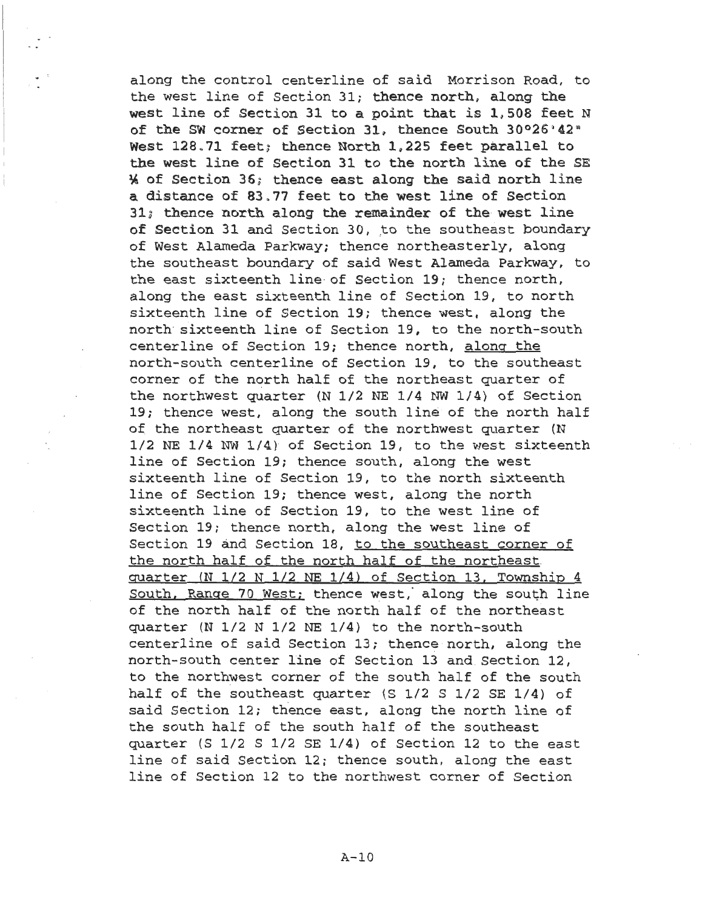along the control centerline of said Morrison Road, to the west line of Section 31; thence north, along the west line of Section 31 to a point that is 1,508 feet N of the SW corner of Section 31, thence South 30°26'42" West 128.71 feet; thence North 1,225 feet parallel to the west line of Section 31 to the north line of the SE  $%$  of Section 36; thence east along the said north line a distance of 83.77 feet to the west line of Section  $31<sub>i</sub>$  thence north along the remainder of the west line of Section 31 and Section 30, to the southeast boundary of West Alameda Parkway; thence northeasterly, along the southeast boundary of said West Alameda Parkway, to the east sixteenth line· of Section 19; thence north, along the east sixteenth line of Section 19, to north sixteenth line of Section 19; thence west, along the north· sixteenth line of Section 19, to the north-south centerline of Section 19; thence north, along the north-south centerline of Section 19, to the southeast corner of the north half of the northeast quarter of the northwest quarter (N 1/2 NE 1/4 NW 1/4) of Section 19; thence west, along the south line of the north half of the northeast quarter of the northwest quarter (N 1/2 NE 1/4 NW 1/4) of Section 19, to the west sixteenth line of Section 19; thence south, along the west sixteenth line of Section 19, to the north sixteenth line of Section 19; thence west, along the north sixteenth line of Section 19, to the west line of Section 19; thence north, along the west line of Section 19 and Section 18, to the southeast corner of the north half of the north half of the northeast. quarter (N 1/2 N 1/2 NE 1/4) of Section 13. Township 4 South, Range 70 West; thence west, along the south line of the north half of the north half of the northeast quarter (N 1/2 N 1/2 NE 1/4) to the north-south centerline of said Section 13; thence north, along the north-south center line of Section 13 and. Section 12, to the northwest corner of the south half of the south half of the southeast quarter (S 1/2 S 1/2 SE 1/4) of said Section 12; thence east, along the north line of the south half of the south half of the southeast quarter (S 1/2 S 1/2 SE 1/4) of Section 12 to the east line of said Section 12; thence south, along the east line of Section 12 to the northwest corner of Section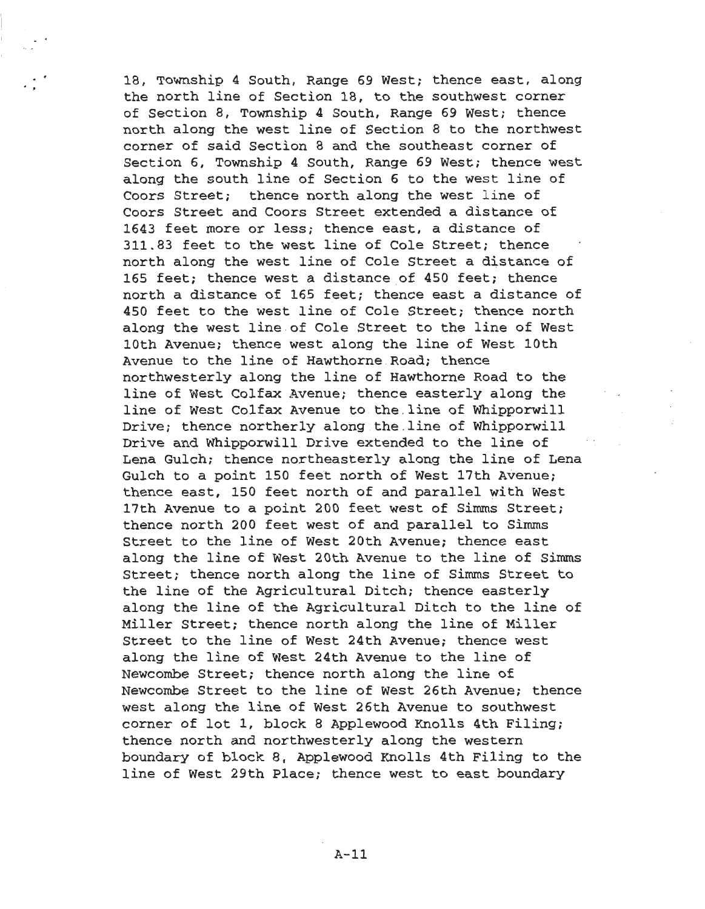18, Township 4 South, Range 69 West; thence east, along the north line of Section 18, to the southwest corner of Section 8, Township 4 South, Range 69 West; thence north along the west line of Section 8 to the northwest corner of said Section 8 and the southeast corner of Section 6, Township 4 South, Range 69 West; thence west along the south line of Section 6 to the west line of Coors Street; thence north along the west line of Coors Street and Coors Street extended a distance of 1643 feet more or less; thence east, a distance of 311.83 feet to the west line of Cole Street; thence north along the west line of Cole Street a distance of 165 feet; thence west a distance of 450 feet; thence north a distance of 165 feet; thence east a distance of 450 feet to the west line of Cole Street; thence north along the west line of Cole Street to the line of West 10th Avenue; thence west along the line of West 10th Avenue to the line of Hawthorne .Road; thence northwesterly along the line of Hawthorne Road to the line of West Colfax Avenue; thence easterly along the line of West Colfax Avenue to the line of Whipporwill Drive; thence northerly along the .line of Whipporwill Drive and Whipporwill Drive extended to the line of Lena Gulch; thence northeasterly along the line of Lena Gulch to a point 150 feet north of West 17th Avenue; thence east, 150 feet north of and parallel with West 17th Avenue to a point 200 feet west of Simms Street; thence north 200 feet west of and parallel to Simms Street to the line of West 20th Avenue; thence east along the line of West 20th Avenue to the line of Simms Street; thence north along the line of Simms Street to the line of the Agricultural Ditch; thence easterly along the line of the Agricultural Ditch to the line of Miller Street; thence north along the line of Miller Street to the line of West 24th Avenue; thence west along the line of West 24th Avenue to the line of Newcombe Street; thence north along the line of Newcombe Street to the line of West 26th Avenue; thence west along the line of West 26th Avenue to southwest corner of lot 1, block 8 Applewood Knolls 4th Filing; thence north and northwesterly along the western boundary of block 8, Applewood Knolls 4th Filing to the line of West 29th Place; thence west to east boundary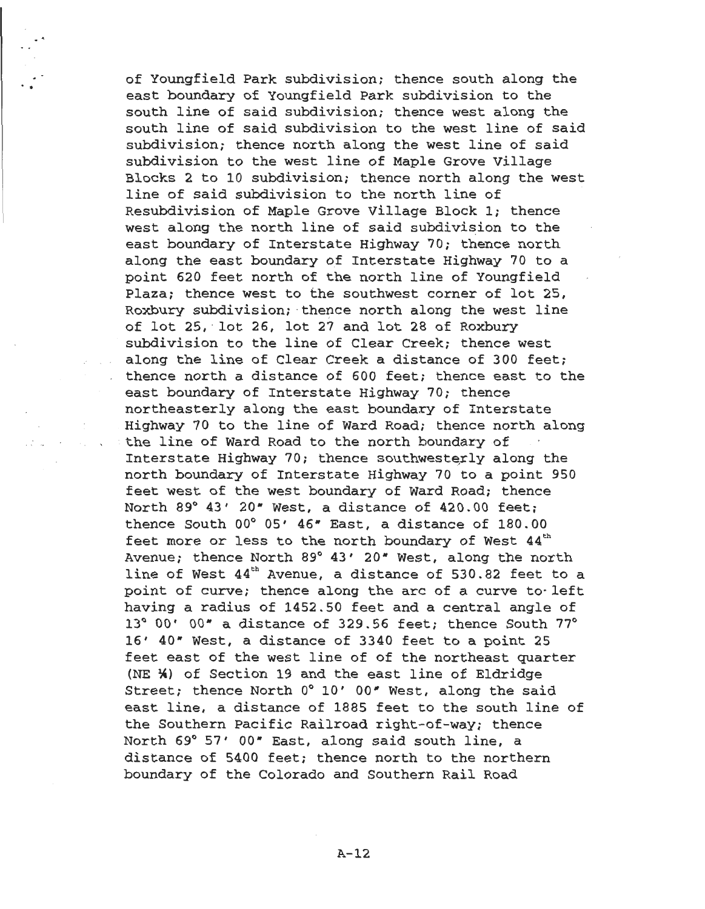of Youngfield Park subdivision; thence south along the east boundary of Youngfield Park subdivision to the south line of said subdivision; thence west along the south line of said subdivision to the west line of said subdivision; thence north along the west line of said subdivision to the west line of Maple Grove Village Blocks 2 to 10 subdivision; thence north along the west line of said subdivision to the north line of Resubdivision of Maple Grove Village Block l; thence west along the north line of said subdivision to the east boundary of Interstate Highway 70; thence north along the east boundary of Interstate Highway 70 to a point 620 feet north of the north line of Youngfield Plaza; thence west to the southwest corner of lot 25, Roxbury subdivision; thence north along the west line of lot 25, lot 26, lot 27 and lot 28 of Roxbury subdivision to the line of Clear Creek; thence west along the line of Clear Creek a distance of 300 feet; thence north a distance of 600 feet; thence east to the east boundary of Interstate Highway 70; thence northeasterly along the east boundary of Interstate Highway 70 to the line of Ward Road; thence north along · the line of Ward Road to the north boundary of Interstate Highway 70; thence southwesterly along the north boundary of Interstate Highway 70 to a point 950 feet west of the west boundary of Ward Road; thence North 89° 43' 20• West, a distance of 420.00 feet; thence South 00° 05' 46• East, a distance of 180.00 feet more or less to the north boundary of West  $44<sup>th</sup>$ Avenue; thence North 89° 43' 20" West, along the north line of West  $44<sup>th</sup>$  Avenue, a distance of 530.82 feet to a point of curve; thence along the arc of a curve to· left having a radius of 1452 . 50 feet and a central angle of 13° 00' oo• a distance of 329.56 feet; thence South 77° 16' 40• West, a distance of 3340 feet to a point 25 feet east of the west line of of the northeast quarter (NE \*) of Section 19 and the east line of Eldridge Street; thence North 0° 10' 00" West, along the said east line, a distance of 1885 feet to the south line of the Southern Pacific Railroad right-of-way; thence North 69° 57' OO• East, along said south line, a distance of 5400 feet; thence north to the northern boundary of the Colorado and Southern Rail Road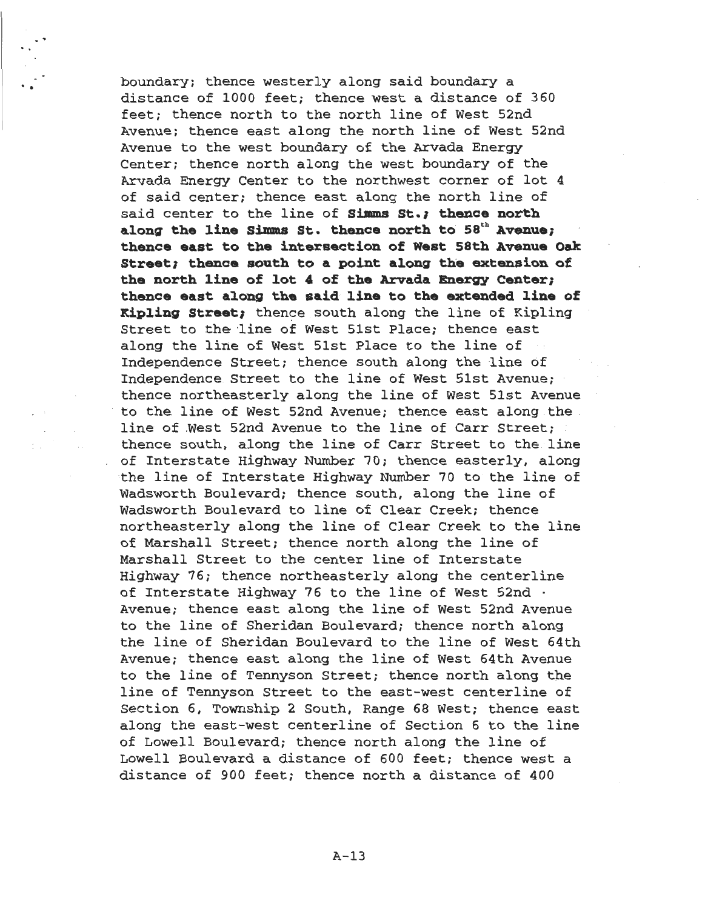boundary; thence westerly along said boundary a distance of 1000 feet; thence west a distance of 360 feet; thence north to the north line of West 52nd Avenue; thence east along the north line of West 52nd Avenue to the west boundary of the Arvada Energy Center; thence north along the west boundary of the Arvada Energy Center to the northwest corner of lot 4 of said center; thence east along the north line of said center to the line of **Simms** St.; **thence north**  along the line Simms St. thence north to 58<sup>th</sup> Avenue; thence east to the intersection of West 58th Avenue Oak Street; thence south to a point along the extension of **the north line of lot 4 of the Arvada. Energy Center;**  thence east along the said line to the extended line of **Kipling Street;** thence south along the line of Kipling Street to the line of West 51st Place; thence east along the line of West Slst Place to the line of Independence Street; thence south along the line of Independence. Street to the line of West Slst Avenue; thence northeasterly along the line of West Slst Avenue to the line of West 52nd Avenue; thence east along the . line of .West 52nd Avenue to the line of Carr Street; thence south, along the line of Carr Street to the. line of Interstate Highway Number 70; thence easterly, along the line of Interstate Highway Number 70 to the line of Wadsworth Boulevard; thence south, along the line of Wadsworth Boulevard to line of Clear Creek; thence northeasterly along the line of Clear Creek to the line of Marshall Street; thence north along the line of Marshall Street to the center line of Interstate Highway 76; thence northeasterly along the centerline of Interstate Highway 76 to the line of West 52nd · Avenue; thence east along the line of West 52nd Avenue to the line of Sheridan Boulevard; thence north along the line of Sheridan Boulevard to the line of West 64th Avenue; thence east along the line of West 64th Avenue to the line of Tennyson Street; thence north along the line of Tennyson Street to the east-west centerline of Section 6, Township 2 South, Range 68 West; thence east along the east-west centerline of Section 6 to the line of Lowell Boulevard; thence north along the line of Lowell Boulevard a distance of 600 feet; thence west a distance of 900 feet; thence north a distance of 400

..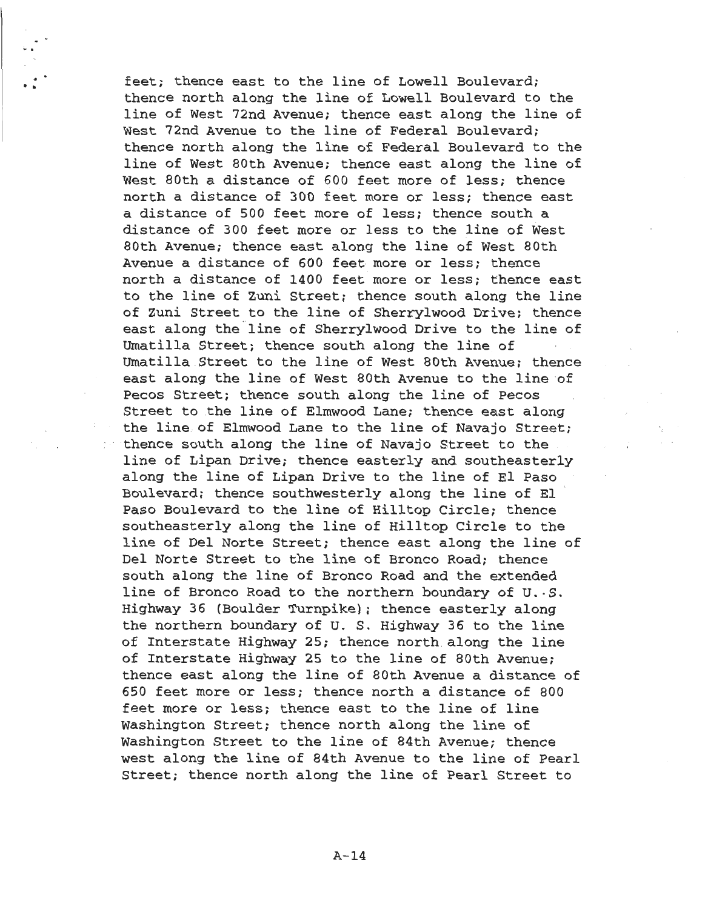feet; thence east to the line of Lowell Boulevard; thence north along the line of Lowell Boulevard to the line of West 72nd Avenue; thence east along the line of West 72nd Avenue to the line of Federal Boulevard; thence north along the line of Federal Boulevard to the line of West 80th Avenue; thence east along the line of West 80th a distance of 600 feet more of less; thence north a distance of 300 feet more or less; thence east a distance of 500 feet more of less; thence south a distance of 300 feet more or less to the line of West 80th Avenue; thence east along the line of West 80th Avenue a distance of 600 feet more or less; thence north a distance of 1400 feet more or less; thence east to the line of Zuni Street; thence south along the line of Zuni Street to the line of Sherrylwood Drive; thence east along the line of Sherrylwood Drive to the line of Umatilla Street; thence south along the line of Umatilla Street to the line of West 80th Avenue; thence east along the line of West 80th Avenue to the line of Pecos Street; thence south along the line of Pecos Street to the line of Elmwood Lane; thence east along the line of Elmwood Lane to the line of Navajo Street; thence south along the line of Navajo Street to the line of Lipan Drive; thence easterly and southeasterly along the line of Lipan Drive to the line of El Paso Boulevard; thence southwesterly along the line of El Paso Boulevard to the line of Hilltop Circle; thence southeasterly along the line of Hilltop Circle to the line of Del Norte Street; thence east along the line of Del Norte Street to the line of Bronco Road; thence south along the line of Bronco Road and the extended line of Bronco Road to the northern boundary of U.·S. Highway 36 (Boulder Turnpike); thence easterly along the northern boundary of U. S. Highway 36 to the line of Interstate Highway 25; thence north along the line of Interstate Highway 25 to the line of 80th Avenue; thence east along the line of 80th Avenue a distance of 650 feet more or less; thence north a distance of 800 feet more or less; thence east to the line of line Washington Street; thence north along the line of Washington Street to the line of 84th Avenue; thence west along the line of 84th Avenue to the line of Pearl Street; thence north along the line of Pearl Street to

.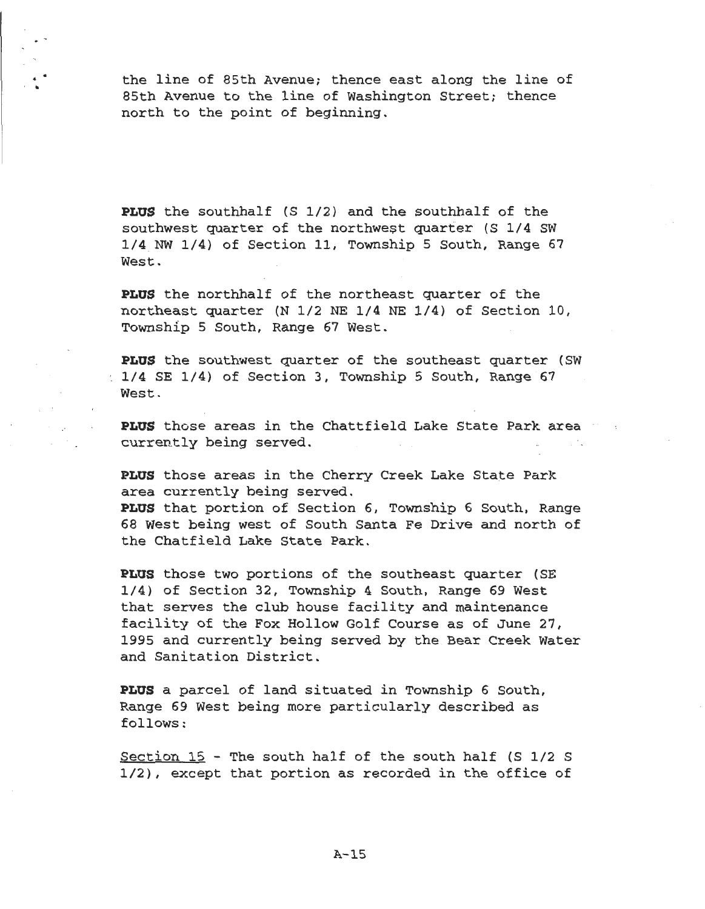the line of 85th Avenue; thence east along the line of 85th Avenue to the line of Washington Street; thence north to the point of beginning.

• •

> **PLUS** the southhalf (S 1/2) and the southhalf of the southwest quarter of the northwest quarter (S 1/4 SW 1/4. NW 1/4) of Section 11, Township 5 South, Range 67 West.

**PLUS** the northhalf of the northeast quarter of the northeast quarter (N 1/2 NE 1/4 NE 1/4) of Section 10, Township 5 South, Range 67 West.

**PLUS** the southwest quarter of the southeast quarter (SW 1/4 SE 1/4) of Section 3, Township 5 South, Range 67 West.

**PLUS** those areas in the Chattfield Lake State Park area currently being served.

**PLUS** those areas in the Cherry Creek Lake State Park area currently being served. **PLUS** that portion of Section 6, Township 6 South, Range 68 West being west of South Santa Fe Drive and north of the Chatfield Lake State Park.

**PLUS** those two portions of the southeast quarter (SE 1/4) of Section 32, Township 4 South, Range 69 West that serves the club house facility and maintenance facility of the Fox Hollow Golf Course as of June 27, 1995 and currently being served by the Bear Creek Water and Sanitation District.

**PLUS** a parcel of land situated in Township 6 South, Range 69 West being more particularly described as follows:

Section 15 - The south half of the south half (S 1/2 S 1/2), except that portion as recorded in the office of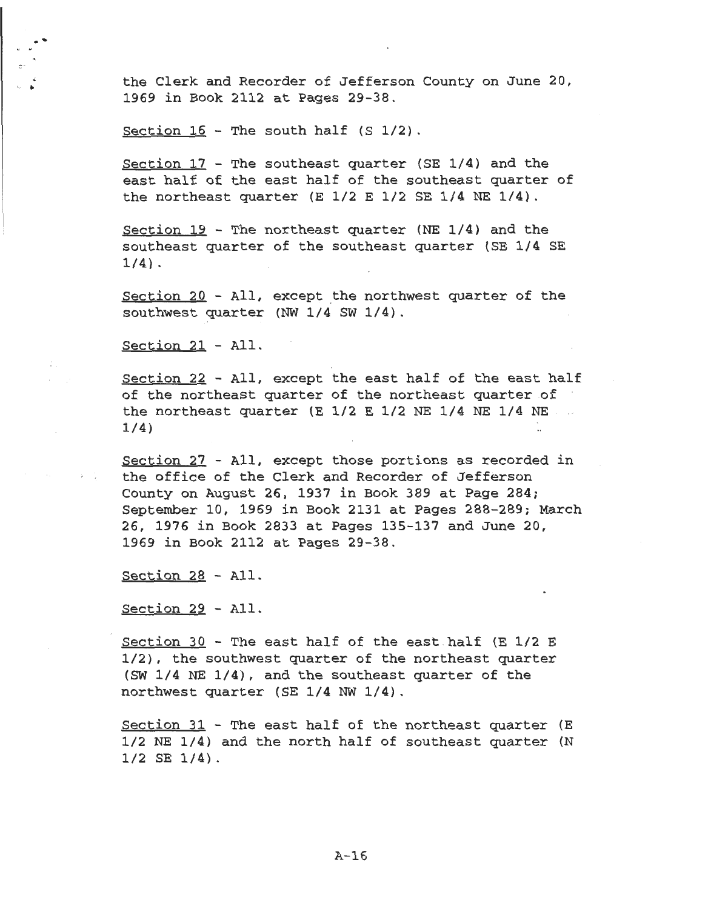the Clerk and Recorder of Jefferson County on June 20, 1969 in Book 2112 at Pages 29-38 .

Section  $16$  - The south half (S  $1/2$ ).

Section 17 - The southeast quarter (SE 1/4) and the east half of the east half of the southeast quarter of the northeast quarter (E 1/2 E 1/2 SE 1/4 NE 1/4).

Section 19 - The northeast quarter (NE 1/4) and the southeast quarter of the southeast quarter (SE 1/4 SE 1/4) .

Section 20 - All, except the northwest quarter of the southwest quarter (NW 1/4 SW 1/4).

Section 21 - All.

..

.. ·-

Section 22 - All, except the east half of the east half of the northeast quarter of the northeast quarter of the northeast quarter (E 1/2 E 1/2 NE 1/4 NE 1/4 NE  $\sim 10^{-1}$ 1/4)

Section 27 - All, except those portions as recorded in the office of the Clerk and Recorder of Jefferson County on August 26, 1937 in Book 389 at Page 284; September 10, 1969 in Book 2131 at Pages 288-289; March 26, 1976 in Book 2833 at Pages 135-137 and June 20, 1969 in Book 2112 at Pages 29-38.

Section 28 - All.

Section 29 - All.

Section 30 - The east half of the east half (E 1/2 E 1/2), the southwest quarter of the northeast quarter (SW 1/4 NE 1/4), and the southeast quarter of the northwest quarter (SE 1/4 NW 1/4).

Section 31 - The east half of the northeast quarter (E 1/2 NE 1/4) and the north half of southeast quarter (N 1/2 SE 1/4) .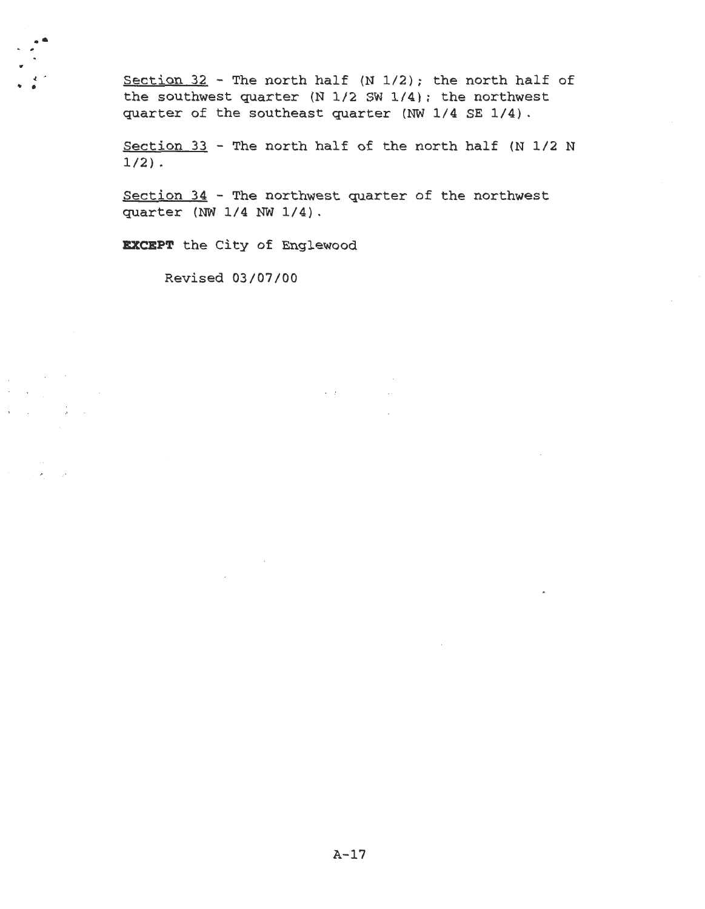Section  $32$  - The north half (N 1/2); the north half of the southwest quarter (N 1/2 SW 1/4); the northwest quarter of the southeast quarter (NW 1/4 SE 1/4) .

Section 33 - The north half of the north half (N 1/2 N  $1/2$ ).

Section 34 - The northwest quarter of the northwest quarter (NW 1/4 NW 1/4).

 $\mathcal{A} \in \mathcal{B}$  , we have

 $\sim$   $\sim$ 

**EXCEPT** the City of Englewood

Revised 03/07/00

 $\sim$   $\sim$ 

....

 $\chi_{\rm{eff}}=0.01$  $\label{eq:2} \mathcal{F} = \mathcal{F} \left( \frac{1}{2} \sum_{i=1}^n \frac{1}{2} \sum_{j=1}^n \frac{1}{2} \sum_{j=1}^n \frac{1}{2} \sum_{j=1}^n \frac{1}{2} \sum_{j=1}^n \frac{1}{2} \sum_{j=1}^n \frac{1}{2} \sum_{j=1}^n \frac{1}{2} \sum_{j=1}^n \frac{1}{2} \sum_{j=1}^n \frac{1}{2} \sum_{j=1}^n \frac{1}{2} \sum_{j=1}^n \frac{1}{2} \sum_{j=1}^n \frac{1}{$ 

 $\frac{1}{2}$  (  $\frac{1}{2}$  )  $\frac{1}{2}$  (  $\frac{1}{2}$  )  $\frac{1}{2}$ 

tr' .( v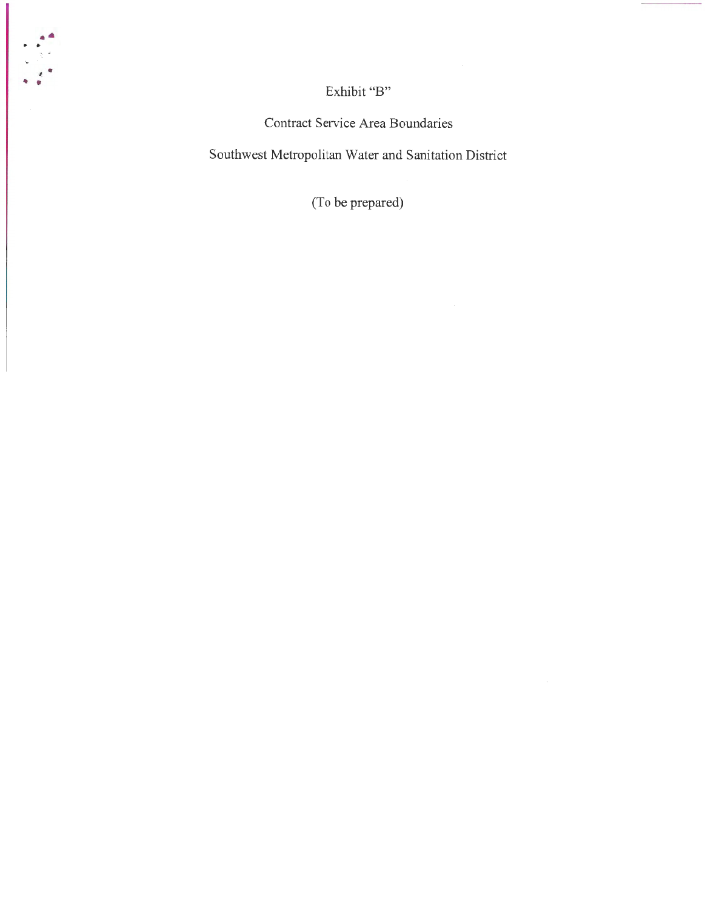Exhibit "B"  $\,$ 

•• . ..

 $\epsilon$ 

Contract Service Area Boundaries

Southwest Metropolitan Water and Sanitation District

(To be prepared)

 $\mathcal{A}$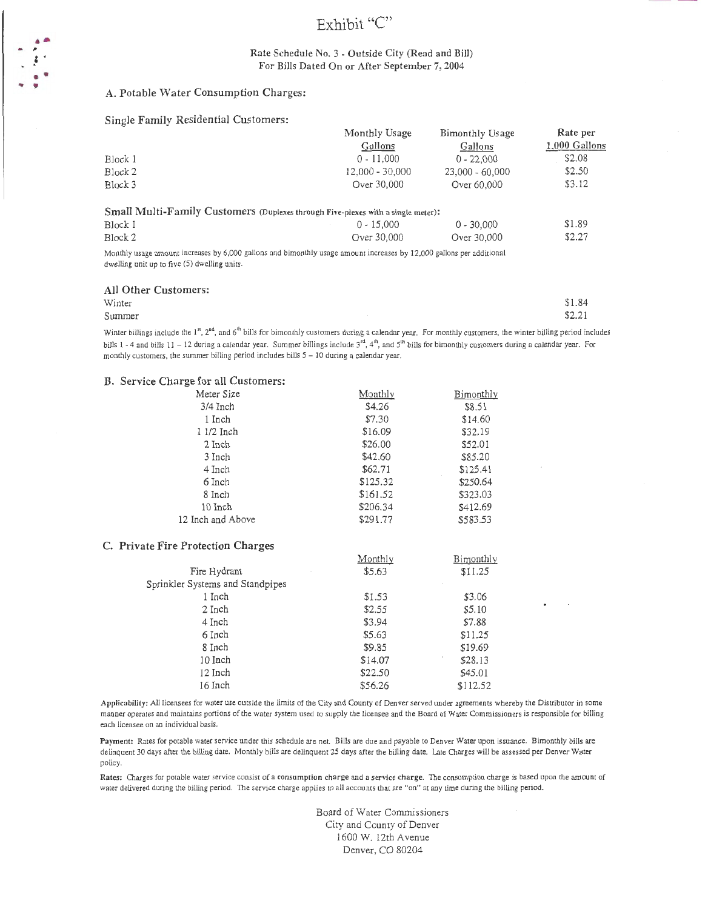# Exhibit "C"

### Rate Schedule No. 3 - Outside City (Read and Bill) For Bills Dated On or After September 7, 2004

### A. Potable Water Consumption Charges:

#### Single Family Residential Customers:

|         | Monthly Usage                                                                    | Bimonthly Usage   | Rate per      |
|---------|----------------------------------------------------------------------------------|-------------------|---------------|
|         | Gallons                                                                          | Gallons           | 1,000 Gallons |
| Block 1 | $0 - 11,000$                                                                     | $0 - 22.000$      | \$2.08        |
| Block 2 | $12.000 - 30.000$                                                                | $23,000 - 60,000$ | \$2.50        |
| Block 3 | Over 30,000                                                                      | Over 60,000       | \$3.12        |
|         | Small Multi-Family Customers (Duplexes through Five-plexes with a single meter): |                   |               |
| Block 1 | $0 - 15,000$                                                                     | $0 - 30,000$      | \$1.89        |

\$2.27

Block 1 0 - 15,000 Block 2 Over 30,000 0 - 30,000 Over 30,000

Monthly usage amount increases by 6,000 gallons and bimonthly usage amount increases by 12,000 gallons per additional dwelling unit up to five (5) dwelling units.

#### All Other Customers:

•• -*t* '

• • .. '

| Winter | \$1.84 |
|--------|--------|
| Summer | \$2.21 |
|        |        |

Winter billings include the  $1<sup>st</sup>$ ,  $2<sup>nd</sup>$ , and 6<sup>th</sup> bills for bimonthly customers during a calendar year. For monthly customers, the winter billing period includes bills  $1 - 4$  and bills  $11 - 12$  during a calendar year. Summer billings include  $3<sup>rd</sup>$ ,  $4<sup>th</sup>$ , and  $5<sup>th</sup>$  bills for bimonthly customers during a calendar year. For monthly customers, the summer billing period includes bills *5* - 10 during a calendar year.

#### B. Service Charge for all Customers:

| Monthly  | Bimonthly |
|----------|-----------|
| \$4.26   | \$8.51    |
| \$7.30   | \$14.60   |
| \$16.09  | \$32.19   |
| \$26.00  | \$52.01   |
| \$42.60  | \$85.20   |
| \$62.71  | \$125.41  |
| \$125.32 | \$250.64  |
| \$161.52 | \$323.03  |
| \$206.34 | \$412.69  |
| \$291.77 | \$583.53  |
|          |           |

### C. Private Fire Protection Charges

|                                  | Monthly | Bimonthly    |
|----------------------------------|---------|--------------|
| Fire Hydrant                     | \$5.63  | \$11.25      |
| Sprinkler Systems and Standpipes |         |              |
| 1 Inch                           | \$1.53  | \$3.06       |
| 2 Inch                           | \$2.55  | \$5.10       |
| 4 Inch                           | \$3.94  | \$7.88       |
| 6 Inch                           | \$5.63  | \$11.25      |
| 8 Inch                           | \$9.85  | \$19.69      |
| 10 Inch                          | \$14.07 | ٠<br>\$28.13 |
| 12 Inch                          | \$22.50 | \$45.01      |
| 16 Inch                          | \$56.26 | \$112.52     |

Applicability: All licensees for water use outside the limits of the City and County of Denver served under agreements whereby the Distributor in some manner operates and maintains portions of the water system used to supply the licensee and the Board of Water Commissioners is responsible for billing each licensee on an individual basis.

Payment: Rates for potable water service under this schedule are net. Bills are due and payable to Denver Water upon issuance. Bimonthly bills are delinquent 30 days after the billing date. Monthly bills are delinquent 25 days after the billing date. Late Charges will be assessed per Denver Water policy.

Rates: Charges for potable water service consist of a consumption charge and a service charge. The consumption charge is based upon the amount of water delivered during the billing period. The service charge applies to all accounts that are "on" at any time during the billing period.

> Board of Water Commissioners City and County of Denver 1600 W. 12th Avenue Denver, CO 80204